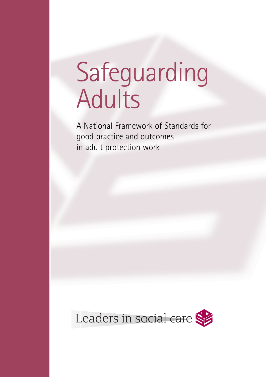# Safeguarding Adults

A National Framework of Standards for good practice and outcomes in adult protection work

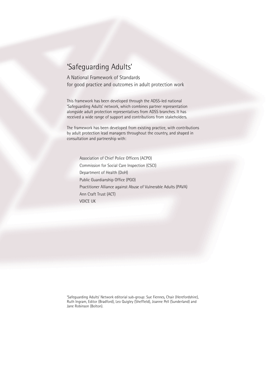### 'Safeguarding Adults'

A National Framework of Standards

for good practice and outcomes in adult protection work

This framework has been developed through the ADSS-led national 'Safeguarding Adults' network, which combines partner representation alongside adult protection representatives from ADSS branches. It has received a wide range of support and contributions from stakeholders.

The framework has been developed from existing practice, with contributions by adult protection lead managers throughout the country, and shaped in consultation and partnership with:

Association of Chief Police Officers (ACPO) Commission for Social Care Inspection (CSCI) Department of Health (DoH) Public Guardianship Office (PGO) Practitioner Alliance against Abuse of Vulnerable Adults (PAVA) Ann Craft Trust (ACT) VOICE UK

'Safeguarding Adults' Network editorial sub-group: Sue Fiennes, Chair (Herefordshire), Ruth Ingram, Editor (Bradford), Leo Quigley (Sheffield), Joanne Pell (Sunderland) and Jane Robinson (Bolton).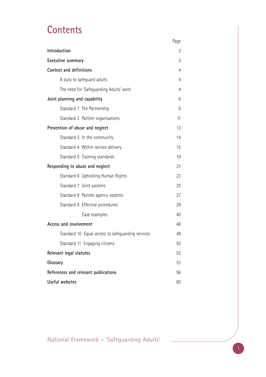# **Contents**

|                                                   | Page |
|---------------------------------------------------|------|
| Introduction                                      | 2    |
| <b>Executive summary</b>                          | 3    |
| Context and definitions                           | 4    |
| A duty to safeguard adults                        | 4    |
| The need for 'Safeguarding Adults' work           | 4    |
| Joint planning and capability                     | 6    |
| Standard 1 The Partnership                        | 6    |
| Standard 2 Partner organisations                  | 11   |
| Prevention of abuse and neglect                   | 13   |
| Standard 3 In the community                       | 14   |
| Standard 4 Within service delivery                | 15   |
| Standard 5 Training standards                     | 19   |
| Responding to abuse and neglect                   | 21   |
| Standard 6 Upholding Human Rights                 | 23   |
| Standard 7 Joint systems                          | 25   |
| Standard 8 Partner agency systems                 | 27   |
| Standard 9 Effective procedures                   | 29   |
| Case examples                                     | 40   |
| Access and involvement                            | 48   |
| Standard 10 Equal access to safeguarding services | 48   |
| Standard 11 Engaging citizens                     | 50   |
| Relevant legal statutes                           | 52   |
| Glossary                                          | 53   |
| References and relevant publications              | 56   |
| Useful websites                                   | 60   |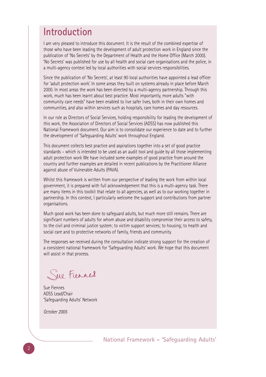# **Introduction**

I am very pleased to introduce this document. It is the result of the combined expertise of those who have been leading the development of adult protection work in England since the publication of 'No Secrets' by the Department of Health and the Home Office (March 2000). 'No Secrets' was published for use by all health and social care organisations and the police, in a multi-agency context led by local authorities with social services responsibilities.

Since the publication of 'No Secrets', at least 90 local authorities have appointed a lead officer for 'adult protection work'. In some areas they built on systems already in place before March 2000. In most areas the work has been directed by a multi-agency partnership. Through this work, much has been learnt about best practice. Most importantly, more adults "with community care needs" have been enabled to live safer lives, both in their own homes and communities, and also within services such as hospitals, care homes and day resources.

In our role as Directors of Social Services, holding responsibility for leading the development of this work, the Association of Directors of Social Services (ADSS) has now published this National Framework document. Our aim is to consolidate our experience to date and to further the development of 'Safeguarding Adults' work throughout England.

This document collects best practice and aspirations together into a set of good practice standards – which is intended to be used as an audit tool and guide by all those implementing adult protection work We have included some examples of good practice from around the country and further examples are detailed in recent publications by the Practitioner Alliance against abuse of Vulnerable Adults (PAVA).

Whilst this framework is written from our perspective of leading the work from within local government, it is prepared with full acknowledgement that this is a multi-agency task. There are many items in this toolkit that relate to all agencies, as well as to our working together in partnership. In this context, I particularly welcome the support and contributions from partner organisations.

Much good work has been done to safeguard adults, but much more still remains. There are significant numbers of adults for whom abuse and disability compromise their access to safety, to the civil and criminal justice system; to victim support services; to housing; to health and social care and to protective networks of family, friends and community.

The responses we received during the consultation indicate strong support for the creation of a consistent national framework for 'Safeguarding Adults' work. We hope that this document will assist in that process.

Sue Fiernes

Sue Fiennes ADSS Lead/Chair 'Safeguarding Adults' Network

*October 2005*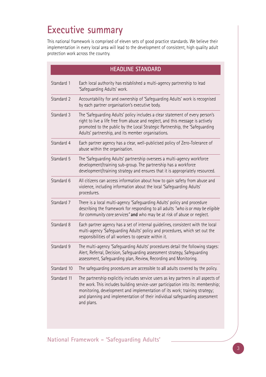# **Executive summary**

This national framework is comprised of eleven sets of good practice standards. We believe their implementation in every local area will lead to the development of consistent, high quality adult protection work across the country.

|             | <b>HEADLINE STANDARD</b>                                                                                                                                                                                                                                                                                                                            |
|-------------|-----------------------------------------------------------------------------------------------------------------------------------------------------------------------------------------------------------------------------------------------------------------------------------------------------------------------------------------------------|
| Standard 1  | Each local authority has established a multi-agency partnership to lead<br>'Safequarding Adults' work.                                                                                                                                                                                                                                              |
| Standard 2  | Accountability for and ownership of 'Safeguarding Adults' work is recognised<br>by each partner organisation's executive body.                                                                                                                                                                                                                      |
| Standard 3  | The 'Safeguarding Adults' policy includes a clear statement of every person's<br>right to live a life free from abuse and neglect, and this message is actively<br>promoted to the public by the Local Strategic Partnership, the 'Safeguarding<br>Adults' partnership, and its member organisations.                                               |
| Standard 4  | Each partner agency has a clear, well-publicised policy of Zero-Tolerance of<br>abuse within the organisation.                                                                                                                                                                                                                                      |
| Standard 5  | The 'Safeguarding Adults' partnership oversees a multi-agency workforce<br>development/training sub-group. The partnership has a workforce<br>development/training strategy and ensures that it is appropriately resourced.                                                                                                                         |
| Standard 6  | All citizens can access information about how to gain safety from abuse and<br>violence, including information about the local 'Safeguarding Adults'<br>procedures.                                                                                                                                                                                 |
| Standard 7  | There is a local multi-agency 'Safeguarding Adults' policy and procedure<br>describing the framework for responding to all adults "who is or may be eligible<br>for community care services" and who may be at risk of abuse or neglect.                                                                                                            |
| Standard 8  | Each partner agency has a set of internal guidelines, consistent with the local<br>multi-agency 'Safeguarding Adults' policy and procedures, which set out the<br>responsibilities of all workers to operate within it.                                                                                                                             |
| Standard 9  | The multi-agency 'Safeguarding Adults' procedures detail the following stages:<br>Alert, Referral, Decision, Safeguarding assessment strategy, Safeguarding<br>assessment, Safeguarding plan, Review, Recording and Monitoring.                                                                                                                     |
| Standard 10 | The safeguarding procedures are accessible to all adults covered by the policy.                                                                                                                                                                                                                                                                     |
| Standard 11 | The partnership explicitly includes service users as key partners in all aspects of<br>the work. This includes building service-user participation into its: membership;<br>monitoring, development and implementation of its work; training strategy;<br>and planning and implementation of their individual safeguarding assessment<br>and plans. |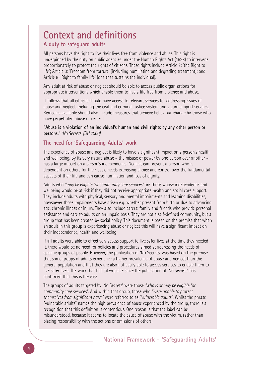# **Context and definitions**

### **A duty to safeguard adults**

All persons have the right to live their lives free from violence and abuse. This right is underpinned by the duty on public agencies under the Human Rights Act (1998) to intervene proportionately to protect the rights of citizens. These rights include Article 2: 'the Right to life'; Article 3: 'Freedom from torture' (including humiliating and degrading treatment); and Article 8: 'Right to family life' (one that sustains the individual).

Any adult at risk of abuse or neglect should be able to access public organisations for appropriate interventions which enable them to live a life free from violence and abuse.

It follows that all citizens should have access to relevant services for addressing issues of abuse and neglect, including the civil and criminal justice system and victim support services. Remedies available should also include measures that achieve behaviour change by those who have perpetrated abuse or neglect.

**"Abuse is a violation of an individual's human and civil rights by any other person or persons."** *'No Secrets' (DH 2000)*

### **The need for 'Safeguarding Adults' work**

The experience of abuse and neglect is likely to have a significant impact on a person's health and well being. By its very nature abuse – the misuse of power by one person over another – has a large impact on a person's independence. Neglect can prevent a person who is dependent on others for their basic needs exercising choice and control over the fundamental aspects of their life and can cause humiliation and loss of dignity.

Adults who *"may be eligible for community care services"* are those whose independence and wellbeing would be at risk if they did not receive appropriate health and social care support. They include adults with physical, sensory and mental impairments and learning disabilities, howsoever those impairments have arisen e.g. whether present from birth or due to advancing age, chronic illness or injury. They also include carers: family and friends who provide personal assistance and care to adults on an unpaid basis. They are not a self-defined community, but a group that has been created by social policy. This document is based on the premise that when an adult in this group is experiencing abuse or neglect this will have a significant impact on their independence, health and wellbeing.

If **all** adults were able to effectively access support to live safer lives at the time they needed it, there would be no need for policies and procedures aimed at addressing the needs of specific groups of people. However, the publication of 'No Secrets' was based on the premise that some groups of adults experience a higher prevalence of abuse and neglect than the general population and that they are also not easily able to access services to enable them to live safer lives. The work that has taken place since the publication of 'No Secrets' has confirmed that this is the case.

The groups of adults targeted by 'No Secrets' were those *"who is or may be eligible for community care services"*. And within that group, those who *"were unable to protect themselves from significant harm"* were referred to as *"vulnerable adults"*. Whilst the phrase "vulnerable adults" names the high prevalence of abuse experienced by the group, there is a recognition that this definition is contentious. One reason is that the label can be misunderstood, because it seems to locate the cause of abuse with the victim, rather than placing responsibility with the actions or omissions of others.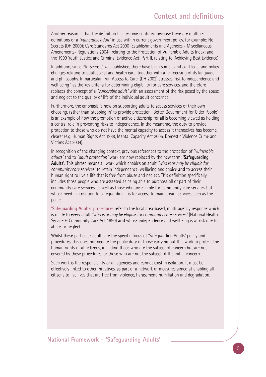### **Context and definitions**

Another reason is that the definition has become confused because there are multiple definitions of a *"vulnerable adult"* in use within current government policy, for example: No Secrets (DH 2000); Care Standards Act 2000 (Establishments and Agencies - Miscellaneous Amendments- Regulations 2004), relating to the Protection of Vulnerable Adults Index; and the 1999 Youth Justice and Criminal Evidence Act: Part II, relating to 'Achieving Best Evidence'.

In addition, since 'No Secrets' was published, there have been some significant legal and policy changes relating to adult social and health care, together with a re-focusing of its language and philosophy. In particular, 'Fair Access to Care' (DH 2002) stresses 'risk to independence and well being ' as the key criteria for determining eligibility for care services, and therefore replaces the concept of a *"vulnerable adult"* with an assessment of the risk posed by the abuse and neglect to the quality of life of the individual adult concerned.

Furthermore, the emphasis is now on supporting adults to access services of their own choosing, rather than 'stepping in' to provide protection. 'Better Government for Older People' is an example of how the promotion of active citizenship for all is becoming viewed as holding a central role in preventing risks to independence. In the meantime, the duty to provide protection to those who do not have the mental capacity to access it themselves has become clearer (e.g. Human Rights Act 1988, Mental Capacity Act 2005, Domestic Violence Crime and Victims Act 2004).

In recognition of the changing context, previous references to the protection of *"vulnerable adults"* and to *"adult protection"* work are now replaced by the new term: **'Safeguarding Adults'.** This phrase means all work which enables an adult *"who is or may be eligible for community care services"* to retain independence, wellbeing and choice **and** to access their human right to live a life that is free from abuse and neglect. This definition specifically includes those people who are assessed as being able to purchase all or part of their community care services, as well as those who are eligible for community care services but whose need - in relation to safeguarding - is for access to mainstream services such as the police.

**'Safeguarding Adults' procedures** refer to the local area-based, multi-agency response which is made to every adult *"who is or may be eligible for community care services"* (National Health Service & Community Care Act 1990) **and** whose independence and wellbeing is at risk due to abuse or neglect.

Whilst these particular adults are the specific focus of 'Safeguarding Adults' policy and procedures, this does not negate the public duty of those carrying out this work to protect the human rights of **all** citizens, including those who are the subject of concern but are not covered by these procedures, or those who are not the subject of the initial concern.

Such work is the responsibility of all agencies and cannot exist in isolation. It must be effectively linked to other initiatives, as part of a network of measures aimed at enabling all citizens to live lives that are free from violence, harassment, humiliation and degradation.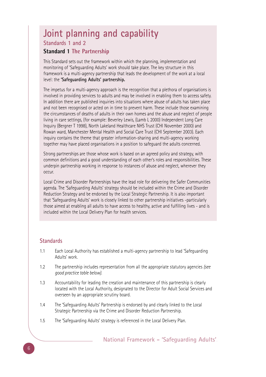### **Standards 1 and 2**

### **Standard 1 The Partnership**

This Standard sets out the framework within which the planning, implementation and monitoring of 'Safeguarding Adults' work should take place. The key structure in this framework is a multi-agency partnership that leads the development of the work at a local level: the **'Safeguarding Adults' partnership.**

The impetus for a multi-agency approach is the recognition that a plethora of organisations is involved in providing services to adults and may be involved in enabling them to access safety. In addition there are published inquiries into situations where abuse of adults has taken place and not been recognised or acted on in time to prevent harm. These include those examining the circumstances of deaths of adults in their own homes and the abuse and neglect of people living in care settings, (for example: Beverley Lewis, (Lamb L 2000) Independent Long Care Inquiry (Bergner T 1998), North Lakeland Healthcare NHS Trust (CHI November 2000) and Rowan ward, Manchester Mental Health and Social Care Trust (CHI September 2003). Each inquiry contains the theme that greater information-sharing and multi-agency working together may have placed organisations in a position to safeguard the adults concerned.

Strong partnerships are those whose work is based on an agreed policy and strategy, with common definitions and a good understanding of each other's roles and responsibilities. These underpin partnership working in response to instances of abuse and neglect, wherever they occur.

Local Crime and Disorder Partnerships have the lead role for delivering the Safer Communities agenda. The 'Safeguarding Adults' strategy should be included within the Crime and Disorder Reduction Strategy and be endorsed by the Local Strategic Partnership. It is also important that 'Safeguarding Adults' work is closely linked to other partnership initiatives -particularly those aimed at enabling all adults to have access to healthy, active and fulfilling lives - and is included within the Local Delivery Plan for health services.

### **Standards**

- 1.1 Each Local Authority has established a multi-agency partnership to lead 'Safeguarding Adults' work.
- 1.2 The partnership includes representation from all the appropriate statutory agencies *(see good practice table below).*
- 1.3 Accountability for leading the creation and maintenance of this partnership is clearly located with the Local Authority, designated to the Director for Adult Social Services and overseen by an appropriate scrutiny board.
- 1.4 The 'Safeguarding Adults' Partnership is endorsed by and clearly linked to the Local Strategic Partnership via the Crime and Disorder Reduction Partnership.
- 1.5 The 'Safeguarding Adults' strategy is referenced in the Local Delivery Plan.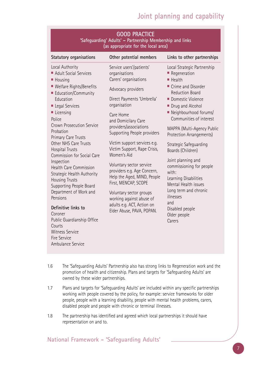| <b>GOOD PRACTICE</b><br>'Safeguarding' Adults' - Partnership Membership and links<br>(as appropriate for the local area)                                                                                                                                                                                                                                                                                                                                                                                                                                                                                                                              |                                                                                                                                                                                                                                                                                                                                                                                                                                                                                                                                                        |                                                                                                                                                                                                                                                                                                                                                                                                                                                                                                                       |  |  |
|-------------------------------------------------------------------------------------------------------------------------------------------------------------------------------------------------------------------------------------------------------------------------------------------------------------------------------------------------------------------------------------------------------------------------------------------------------------------------------------------------------------------------------------------------------------------------------------------------------------------------------------------------------|--------------------------------------------------------------------------------------------------------------------------------------------------------------------------------------------------------------------------------------------------------------------------------------------------------------------------------------------------------------------------------------------------------------------------------------------------------------------------------------------------------------------------------------------------------|-----------------------------------------------------------------------------------------------------------------------------------------------------------------------------------------------------------------------------------------------------------------------------------------------------------------------------------------------------------------------------------------------------------------------------------------------------------------------------------------------------------------------|--|--|
| Statutory organisations                                                                                                                                                                                                                                                                                                                                                                                                                                                                                                                                                                                                                               | Other potential members                                                                                                                                                                                                                                                                                                                                                                                                                                                                                                                                | Links to other partnerships                                                                                                                                                                                                                                                                                                                                                                                                                                                                                           |  |  |
| Local Authority<br>Adult Social Services<br><b>Housing</b><br>• Welfare Rights/Benefits<br>Education/Community<br>Education<br>Legal Services<br>$\blacksquare$ Licensing<br>Police<br><b>Crown Prosecution Service</b><br>Probation<br>Primary Care Trusts<br>Other NHS Care Trusts<br><b>Hospital Trusts</b><br>Commission for Social Care<br>Inspection<br>Health Care Commission<br>Strategic Health Authority<br><b>Housing Trusts</b><br>Supporting People Board<br>Department of Work and<br>Pensions<br>Definitive links to<br>Coroner<br>Public Guardianship Office<br>Courts<br><b>Witness Service</b><br>Fire Service<br>Ambulance Service | Service users'/patients'<br>organisations<br>Carers' organisations<br>Advocacy providers<br>Direct Payments 'Umbrella'<br>organisation<br>Care Home<br>and Domicilary Care<br>providers/associations<br>Supporting People providers<br>Victim support services e.g.<br>Victim Support, Rape Crisis,<br>Women's Aid<br>Voluntary sector service<br>providers e.g. Age Concern,<br>Help the Aged, MIND, People<br>First, MENCAP, SCOPE<br>Voluntary sector groups<br>working against abuse of<br>adults e.g. ACT, Action on<br>Elder Abuse, PAVA, POPAN. | Local Strategic Partnership<br>Regeneration<br>$H$ ealth<br>Crime and Disorder<br><b>Reduction Board</b><br>• Domestic Violence<br>Drug and Alcohol<br>Reighbourhood forums<br>Communities of interest<br>MAPPA (Multi-Agency Public<br>Protection Arrangements)<br>Strategic Safeguarding<br>Boards (Children)<br>Joint planning and<br>commissioning for people<br>with:<br>Learning Disabilities<br>Mental Health issues<br>Long term and chronic<br>illnesses<br>and<br>Disabled people<br>Older people<br>Carers |  |  |

- 1.6 The 'Safeguarding Adults' Partnership also has strong links to Regeneration work and the promotion of health and citizenship. Plans and targets for 'Safeguarding Adults' are owned by these wider partnerships.
- 1.7 Plans and targets for 'Safeguarding Adults' are included within any specific partnerships working with people covered by the policy, for example: service frameworks for older people, people with a learning disability, people with mental health problems, carers, disabled people and people with chronic or terminal illnesses.
- 1.8 The partnership has identified and agreed which local partnerships it should have representation on and to.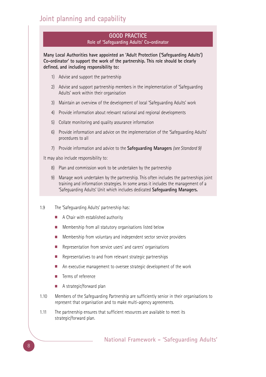### **GOOD PRACTICE Role of 'Safeguarding Adults' Co-ordinator**

**Many Local Authorities have appointed an 'Adult Protection ('Safeguarding Adults') Co-ordinator' to support the work of the partnership. This role should be clearly defined, and including responsibility to:**

- 1) Advise and support the partnership
- 2) Advise and support partnership members in the implementation of 'Safeguarding Adults' work within their organisation
- 3) Maintain an overview of the development of local 'Safeguarding Adults' work
- 4) Provide information about relevant national and regional developments
- 5) Collate monitoring and quality assurance information
- 6) Provide information and advice on the implementation of the 'Safeguarding Adults' procedures to all
- 7) Provide information and advice to the **Safeguarding Managers** *(see Standard 9)*

It may also include responsibility to:

- 8) Plan and commission work to be undertaken by the partnership
- 9) Manage work undertaken by the partnership. This often includes the partnerships joint training and information strategies. In some areas it includes the management of a 'Safeguarding Adults' Unit which includes dedicated **Safeguarding Managers.**
- 1.9 The 'Safeguarding Adults' partnership has:
	- A Chair with established authority
	- Membership from all statutory organisations listed below
	- Membership from voluntary and independent sector service providers
	- Representation from service users' and carers' organisations
	- Representatives to and from relevant strategic partnerships
	- An executive management to oversee strategic development of the work
	- Terms of reference
	- A strategic/forward plan
- 1.10 Members of the Safeguarding Partnership are sufficiently senior in their organisations to represent that organisation and to make multi-agency agreements.
- 1.11 The partnership ensures that sufficient resources are available to meet its strategic/forward plan.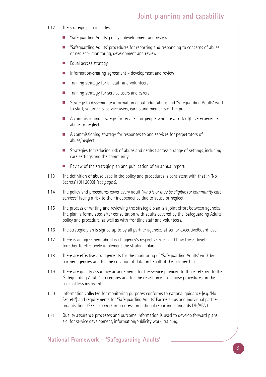- 1.12 The strategic plan includes:
	- 'Safeguarding Adults' policy development and review
	- 'Safeguarding Adults' procedures for reporting and responding to concerns of abuse or neglect– monitoring, development and review
	- Equal access strategy
	- Information-sharing agreement development and review
	- Training strategy for all staff and volunteers
	- Training strategy for service users and carers
	- Strategy to disseminate information about adult abuse and 'Safeguarding Adults' work to staff, volunteers, service users, carers and members of the public
	- A commissioning strategy for services for people who are at risk of/have experienced abuse or neglect
	- A commissioning strategy for responses to and services for perpetrators of abuse/neglect
	- Strategies for reducing risk of abuse and neglect across a range of settings, including care settings and the community
	- Review of the strategic plan and publication of an annual report.
- 1.13 The definition of abuse used in the policy and procedures is consistent with that in 'No Secrets' (DH 2000) *(see page 5)*
- 1.14 The policy and procedures cover every adult *"who is or may be eligible for community care services"* facing a risk to their independence due to abuse or neglect.
- 1.15 The process of writing and reviewing the strategic plan is a joint effort between agencies. The plan is formulated after consultation with adults covered by the 'Safeguarding Adults' policy and procedure, as well as with frontline staff and volunteers.
- 1.16 The strategic plan is signed up to by all partner agencies at senior executive/board level.
- 1.17 There is an agreement about each agency's respective roles and how these dovetail together to effectively implement the strategic plan.
- 1.18 There are effective arrangements for the monitoring of 'Safeguarding Adults' work by partner agencies and for the collation of data on behalf of the partnership.
- 1.19 There are quality assurance arrangements for the service provided to those referred to the 'Safeguarding Adults' procedures and for the development of those procedures on the basis of lessons learnt.
- 1.20 Information collected for monitoring purposes conforms to national guidance (e.g. 'No Secrets') and requirements for 'Safeguarding Adults' Partnerships and individual partner organisations.(See also work in progress on national reporting standards DH/AEA.)
- 1.21 Quality assurance processes and outcome information is used to develop forward plans e.g. for service development, information/publicity work, training.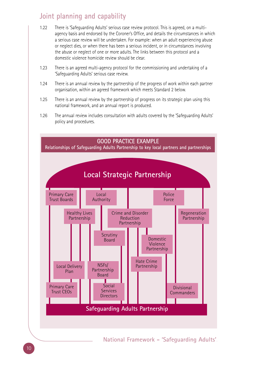- 1.22 There is 'Safeguarding Adults' serious case review protocol. This is agreed, on a multiagency basis and endorsed by the Coroner's Office, and details the circumstances in which a serious case review will be undertaken. For example: when an adult experiencing abuse or neglect dies, or when there has been a serious incident, or in circumstances involving the abuse or neglect of one or more adults. The links between this protocol and a domestic violence homicide review should be clear.
- 1.23 There is an agreed multi-agency protocol for the commissioning and undertaking of a 'Safeguarding Adults' serious case review.
- 1.24 There is an annual review by the partnership of the progress of work within each partner organisation, within an agreed framework which meets Standard 2 below.
- 1.25 There is an annual review by the partnership of progress on its strategic plan using this national framework, and an annual report is produced.
- 1.26 The annual review includes consultation with adults covered by the 'Safeguarding Adults' policy and procedures.

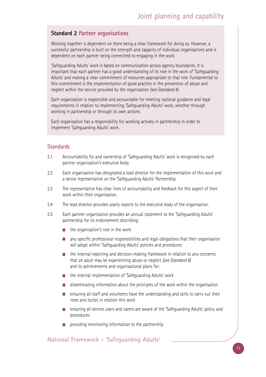### **Standard 2 Partner organisations**

Working together is dependent on there being a clear framework for doing so. However, a successful partnership is built on the strength and capacity of individual organisations and is dependent on each partner being committed to engaging in the work.

'Safeguarding Adults' work is based on communication across agency boundaries. It is important that each partner has a good understanding of its role in the work of 'Safeguarding Adults' and making a clear commitment of resources appropriate to that role. Fundamental to this commitment is the implementation of good practice in the prevention of abuse and neglect within the service provided by the organisation *(see Standard 4).* 

Each organisation is responsible and accountable for meeting national guidance and legal requirements in relation to implementing 'Safeguarding Adults' work, whether through working in partnership or through its own actions.

Each organisation has a responsibility for working actively in partnership in order to implement 'Safeguarding Adults' work.

### **Standards**

- 2.1 Accountability for and ownership of 'Safeguarding Adults' work is recognised by each partner organisation's executive body.
- 2.2 Each organisation has designated a lead director for the implementation of this work and a senior representative on the 'Safeguarding Adults' Partnership.
- 2.3 The representative has clear lines of accountability and feedback for this aspect of their work within their organisation.
- 2.4 The lead director provides yearly reports to the executive body of the organisation.
- 2.5 Each partner organisation provides an annual statement to the 'Safeguarding Adults' partnership for its endorsement describing:
	- the organisation's role in the work
	- any specific professional responsibilities and legal obligations that their organisation will adopt within 'Safeguarding Adults' policies and procedures
	- the internal reporting and decision-making framework in relation to any concerns that an adult may be experiencing abuse or neglect *(see Standard 8)* and its achievements and organisational plans for:
	- the internal implementation of 'Safeguarding Adults' work
	- disseminating information about the principles of the work within the organisation
	- ensuring all staff and volunteers have the understanding and skills to carry out their roles and duties in relation this work
	- ensuring all service users and carers are aware of the 'Safeguarding Adults' policy and procedures
	- providing monitoring information to the partnership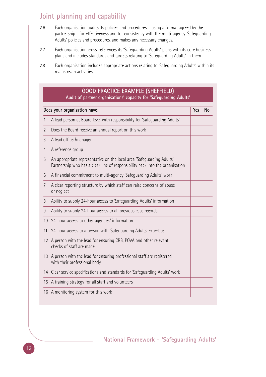- 2.6 Each organisation audits its policies and procedures using a format agreed by the partnership - for effectiveness and for consistency with the multi-agency 'Safeguarding Adults' policies and procedures, and makes any necessary changes.
- 2.7 Each organisation cross-references its 'Safeguarding Adults' plans with its core business plans and includes standards and targets relating to 'Safeguarding Adults' in them.
- 2.8 Each organisation includes appropriate actions relating to 'Safeguarding Adults' within its mainstream activities.

# **Does your organisation have: Yes No** 1 A lead person at Board level with responsibility for 'Safeguarding Adults' 2 Does the Board receive an annual report on this work 3 A lead officer/manager 4 A reference group 5 An appropriate representative on the local area 'Safeguarding Adults' Partnership who has a clear line of responsibility back into the organisation 6 A financial commitment to multi-agency 'Safeguarding Adults' work 7 A clear reporting structure by which staff can raise concerns of abuse or neglect 8 Ability to supply 24-hour access to 'Safeguarding Adults' information 9 Ability to supply 24-hour access to all previous case records 10 24-hour access to other agencies' information 11 24-hour access to a person with 'Safeguarding Adults' expertise 12 A person with the lead for ensuring CRB, POVA and other relevant checks of staff are made 13 A person with the lead for ensuring professional staff are registered with their professional body 14 Clear service specifications and standards for 'Safeguarding Adults' work 15 A training strategy for all staff and volunteers 16 A monitoring system for this work **GOOD PRACTICE EXAMPLE (SHEFFIELD) Audit of partner organisations' capacity for 'Safeguarding Adults'**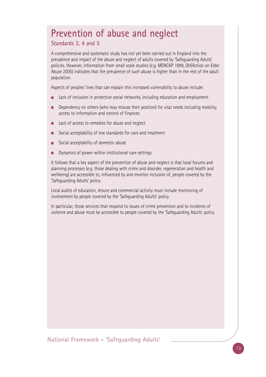### **Standards 3, 4 and 5**

A comprehensive and systematic study has not yet been carried out in England into the prevalence and impact of the abuse and neglect of adults covered by 'Safeguarding Adults' policies. However, information from small scale studies (e.g. MENCAP 1999, DH/Action on Elder Abuse 2005) indicates that the prevalence of such abuse is higher than in the rest of the adult population.

Aspects of peoples' lives that can explain this increased vulnerability to abuse include:

- Lack of inclusion in protective social networks, including education and employment
- Dependency on others (who may misuse their position) for vital needs including mobility, access to information and control of finances
- Lack of access to remedies for abuse and neglect
- Social acceptability of low standards for care and treatment
- Social acceptability of domestic abuse
- Dynamics of power within institutional care settings

It follows that a key aspect of the prevention of abuse and neglect is that local forums and planning processes (e.g. those dealing with crime and disorder, regeneration and health and wellbeing) are accessible to, influenced by and monitor inclusion of, people covered by the 'Safeguarding Adults' policy.

Local audits of education, leisure and commercial activity must include monitoring of involvement by people covered by the 'Safeguarding Adults' policy.

In particular, those services that respond to issues of crime prevention and to incidents of violence and abuse must be accessible to people covered by the 'Safeguarding Adults' policy.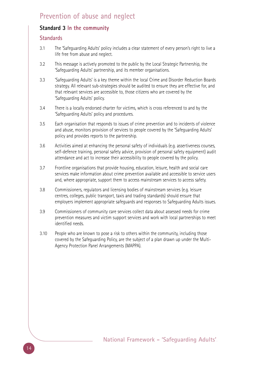### **Standard 3 In the community**

### **Standards**

- 3.1 The 'Safeguarding Adults' policy includes a clear statement of every person's right to live a life free from abuse and neglect.
- 3.2 This message is actively promoted to the public by the Local Strategic Partnership, the 'Safeguarding Adults' partnership, and its member organisations.
- 3.3 'Safeguarding Adults' is a key theme within the local Crime and Disorder Reduction Boards strategy. All relevant sub-strategies should be audited to ensure they are effective for, and that relevant services are accessible to, those citizens who are covered by the 'Safeguarding Adults' policy.
- 3.4 There is a locally endorsed charter for victims, which is cross referenced to and by the 'Safeguarding Adults' policy and procedures.
- 3.5 Each organisation that responds to issues of crime prevention and to incidents of violence and abuse, monitors provision of services to people covered by the 'Safeguarding Adults' policy and provides reports to the partnership.
- 3.6 Activities aimed at enhancing the personal safety of individuals (e.g. assertiveness courses, self-defence training, personal safety advice, provision of personal safety equipment) audit attendance and act to increase their accessibility to people covered by the policy.
- 3.7 Frontline organisations that provide housing, education, leisure, health and social care services make information about crime prevention available and accessible to service users and, where appropriate, support them to access mainstream services to access safety.
- 3.8 Commissioners, regulators and licensing bodies of mainstream services (e.g. leisure centres, colleges, public transport, taxis and trading standards) should ensure that employers implement appropriate safeguards and responses to Safeguarding Adults issues.
- 3.9 Commissioners of community care services collect data about assessed needs for crime prevention measures and victim support services and work with local partnerships to meet identified needs.
- 3.10 People who are known to pose a risk to others within the community, including those covered by the Safeguarding Policy, are the subject of a plan drawn up under the Multi-Agency Protection Panel Arrangements (MAPPA).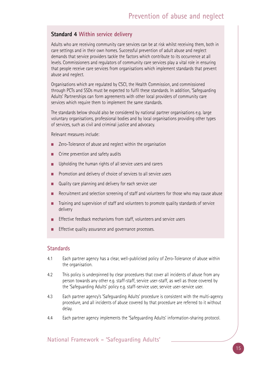### **Standard 4 Within service delivery**

Adults who are receiving community care services can be at risk whilst receiving them, both in care settings and in their own homes. Successful prevention of adult abuse and neglect demands that service providers tackle the factors which contribute to its occurrence at all levels. Commissioners and regulators of community care services play a vital role in ensuring that people receive care services from organisations which implement standards that prevent abuse and neglect.

Organisations which are regulated by CSCI, the Health Commission, and commissioned through PCTs and SSDs must be expected to fulfil these standards. In addition, 'Safeguarding Adults' Partnerships can form agreements with other local providers of community care services which require them to implement the same standards.

The standards below should also be considered by national partner organisations e.g. large voluntary organisations, professional bodies and by local organisations providing other types of services, such as civil and criminal justice and advocacy.

Relevant measures include:

- Zero-Tolerance of abuse and neglect within the organisation
- Crime prevention and safety audits
- Upholding the human rights of all service users and carers
- Promotion and delivery of choice of services to all service users
- Quality care planning and delivery for each service user
- Recruitment and selection screening of staff and volunteers for those who may cause abuse
- Training and supervision of staff and volunteers to promote quality standards of service delivery
- Effective feedback mechanisms from staff, volunteers and service users
- Effective quality assurance and governance processes.

### **Standards**

- 4.1 Each partner agency has a clear, well-publicised policy of Zero-Tolerance of abuse within the organisation.
- 4.2 This policy is underpinned by clear procedures that cover all incidents of abuse from any person towards any other e.g. staff-staff, service user-staff, as well as those covered by the 'Safeguarding Adults' policy e.g. staff-service user, service user-service user.
- 4.3 Each partner agency's 'Safeguarding Adults' procedure is consistent with the multi-agency procedure, and all incidents of abuse covered by that procedure are referred to it without delay.
- 4.4 Each partner agency implements the 'Safeguarding Adults' information-sharing protocol.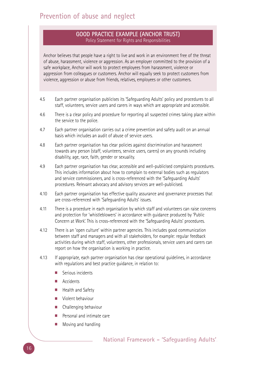### **GOOD PRACTICE EXAMPLE (ANCHOR TRUST)** Policy Statement for Rights and Responsibilities

Anchor believes that people have a right to live and work in an environment free of the threat of abuse, harassment, violence or aggression. As an employer committed to the provision of a safe workplace, Anchor will work to protect employees from harassment, violence or aggression from colleagues or customers. Anchor will equally seek to protect customers from violence, aggression or abuse from friends, relatives, employees or other customers.

- 4.5 Each partner organisation publicises its 'Safeguarding Adults' policy and procedures to all staff, volunteers, service users and carers in ways which are appropriate and accessible.
- 4.6 There is a clear policy and procedure for reporting all suspected crimes taking place within the service to the police.
- 4.7 Each partner organisation carries out a crime prevention and safety audit on an annual basis which includes an audit of abuse of service users.
- 4.8 Each partner organisation has clear policies against discrimination and harassment towards any person (staff, volunteers, service users, carers) on any grounds including disability, age, race, faith, gender or sexuality.
- 4.9 Each partner organisation has clear, accessible and well-publicised complaints procedures. This includes information about how to complain to external bodies such as regulators and service commissioners, and is cross-referenced with the 'Safeguarding Adults' procedures. Relevant advocacy and advisory services are well-publicised.
- 4.10 Each partner organisation has effective quality assurance and governance processes that are cross-referenced with 'Safeguarding Adults' issues.
- 4.11 There is a procedure in each organisation by which staff and volunteers can raise concerns and protection for 'whistleblowers' in accordance with guidance produced by 'Public Concern at Work'. This is cross-referenced with the 'Safeguarding Adults' procedures.
- 4.12 There is an 'open culture' within partner agencies. This includes good communication between staff and managers and with all stakeholders, for example: regular feedback activities during which staff, volunteers, other professionals, service users and carers can report on how the organisation is working in practice.
- 4.13 If appropriate, each partner organisation has clear operational guidelines, in accordance with regulations and best practice guidance, in relation to:
	- Serious incidents
	- Accidents
	- Health and Safety
	- Violent behaviour
	- Challenging behaviour
	- Personal and intimate care
	- Moving and handling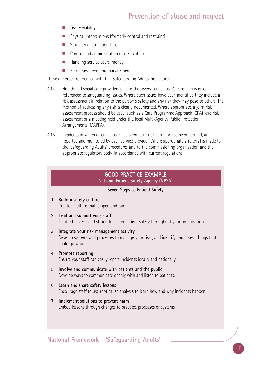- Tissue viability
- Physical interventions (formerly control and restraint)
- Sexuality and relationships
- Control and administration of medication
- Handling service users' money
- Risk assessment and management

These are cross-referenced with the 'Safeguarding Adults' procedures.

- 4.14 Health and social care providers ensure that every service user's care plan is crossreferenced to safeguarding issues. Where such issues have been identified they include a risk assessment in relation to the person's safety and any risk they may pose to others. The method of addressing any risk is clearly documented. Where appropriate, a joint risk assessment process should be used, such as a Care Programme Approach (CPA) lead risk assessment or a meeting held under the local Multi-Agency Public Protection Arrangements (MAPPA).
- 4.15 Incidents in which a service user has been at risk of harm, or has been harmed, are reported and monitored by each service provider. Where appropriate a referral is made to the 'Safeguarding Adults' procedures and to the commissioning organisation and the appropriate regulatory body, in accordance with current regulations.

### **GOOD PRACTICE EXAMPLE National Patient Safety Agency (NPSA)**

### **Seven Steps to Patient Safety**

- **1. Build a safety culture** Create a culture that is open and fair.
- **2. Lead and support your staff** Establish a clear and strong focus on patient safety throughout your organisation.
- **3. Integrate your risk management activity** Develop systems and processes to manage your risks, and identify and assess things that could go wrong.
- **4. Promote reporting** Ensure your staff can easily report incidents locally and nationally.
- **5. Involve and communicate with patients and the public** Develop ways to communicate openly with and listen to patients.
- **6. Learn and share safety lessons** Encourage staff to use root cause analysis to learn how and why incidents happen.
- **7. Implement solutions to prevent harm** Embed lessons through changes to practice, processes or systems.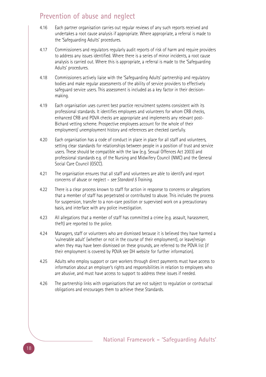- 4.16 Each partner organisation carries out regular reviews of any such reports received and undertakes a root cause analysis if appropriate. Where appropriate, a referral is made to the 'Safeguarding Adults' procedures.
- 4.17 Commissioners and regulators regularly audit reports of risk of harm and require providers to address any issues identified. Where there is a series of minor incidents, a root cause analysis is carried out. Where this is appropriate, a referral is made to the 'Safeguarding Adults' procedures.
- 4.18 Commissioners actively liaise with the 'Safeguarding Adults' partnership and regulatory bodies and make regular assessments of the ability of service providers to effectively safeguard service users. This assessment is included as a key factor in their decisionmaking.
- 4.19 Each organisation uses current best practice recruitment systems consistent with its professional standards. It identifies employees and volunteers for whom CRB checks, enhanced CRB and POVA checks are appropriate and implements any relevant post-Bichard vetting scheme. Prospective employees account for the whole of their employment/ unemployment history and references are checked carefully.
- 4.20 Each organisation has a code of conduct in place in place for all staff and volunteers, setting clear standards for relationships between people in a position of trust and service users. These should be compatible with the law (e.g. Sexual Offences Act 2003) and professional standards e.g. of the Nursing and Midwifery Council (NMC) and the General Social Care Council (GSCC).
- 4.21 The organisation ensures that all staff and volunteers are able to identify and report concerns of abuse or neglect – *see Standard 5 Training.*
- 4.22 There is a clear process known to staff for action in response to concerns or allegations that a member of staff has perpetrated or contributed to abuse. This includes the process for suspension, transfer to a non-care position or supervised work on a precautionary basis, and interface with any police investigation.
- 4.23 All allegations that a member of staff has committed a crime (e.g. assault, harassment, theft) are reported to the police.
- 4.24 Managers, staff or volunteers who are dismissed because it is believed they have harmed a 'vulnerable adult' (whether or not in the course of their employment), or leave/resign when they may have been dismissed on these grounds, are referred to the POVA list (if their employment is covered by POVA see DH website for further information).
- 4.25 Adults who employ support or care workers through direct payments must have access to information about an employer's rights and responsibilities in relation to employees who are abusive, and must have access to support to address these issues if needed.
- 4.26 The partnership links with organisations that are not subject to regulation or contractual obligations and encourages them to achieve these Standards.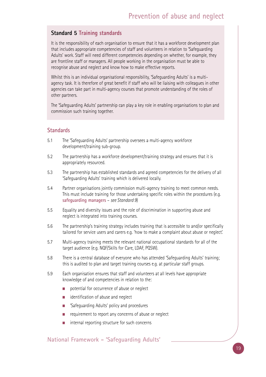### **Standard 5 Training standards**

It is the responsibility of each organisation to ensure that it has a workforce development plan that includes appropriate competencies of staff and volunteers in relation to 'Safeguarding Adults' work. Staff will need different competencies depending on whether, for example, they are frontline staff or managers. All people working in the organisation must be able to recognise abuse and neglect and know how to make effective reports.

Whilst this is an individual organisational responsibility, 'Safeguarding Adults' is a multiagency task. It is therefore of great benefit if staff who will be liaising with colleagues in other agencies can take part in multi-agency courses that promote understanding of the roles of other partners.

The 'Safeguarding Adults' partnership can play a key role in enabling organisations to plan and commission such training together.

### **Standards**

- 5.1 The 'Safeguarding Adults' partnership oversees a multi-agency workforce development/training sub-group.
- 5.2 The partnership has a workforce development/training strategy and ensures that it is appropriately resourced.
- 5.3 The partnership has established standards and agreed competencies for the delivery of all 'Safeguarding Adults' training which is delivered locally.
- 5.4 Partner organisations jointly commission multi-agency training to meet common needs. This must include training for those undertaking specific roles within the procedures (e.g. **safeguarding managers** – *see Standard 9*)
- 5.5 Equality and diversity issues and the role of discrimination in supporting abuse and neglect is integrated into training courses.
- 5.6 The partnership's training strategy includes training that is accessible to and/or specifically tailored for service users and carers e.g. 'how to make a complaint about abuse or neglect'.
- 5.7 Multi-agency training meets the relevant national occupational standards for all of the target audience (e.g. NQF/Skills for Care, LDAF, PQSW).
- 5.8 There is a central database of everyone who has attended 'Safeguarding Adults' training; this is audited to plan and target training courses e.g. at particular staff groups.
- 5.9 Each organisation ensures that staff and volunteers at all levels have appropriate knowledge of and competencies in relation to the:
	- potential for occurrence of abuse or neglect
	- identification of abuse and neglect
	- 'Safeguarding Adults' policy and procedures
	- requirement to report any concerns of abuse or neglect
	- internal reporting structure for such concerns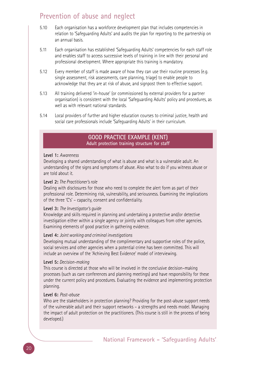- 5.10 Each organisation has a workforce development plan that includes competencies in relation to 'Safeguarding Adults' and audits the plan for reporting to the partnership on an annual basis.
- 5.11 Each organisation has established 'Safeguarding Adults' competencies for each staff role and enables staff to access successive levels of training in line with their personal and professional development. Where appropriate this training is mandatory.
- 5.12 Every member of staff is made aware of how they can use their routine processes (e.g. single assessment, risk assessments, care planning, triage) to enable people to acknowledge that they are at risk of abuse, and signpost them to effective support.
- 5.13 All training delivered 'in-house' (or commissioned by external providers for a partner organisation) is consistent with the local 'Safeguarding Adults' policy and procedures, as well as with relevant national standards.
- 5.14 Local providers of further and higher education courses to criminal justice, health and social care professionals include 'Safeguarding Adults' in their curriculum.

### **GOOD PRACTICE EXAMPLE (KENT) Adult protection training structure for staff**

### **Level 1:** *Awareness*

Developing a shared understanding of what is abuse and what is a vulnerable adult. An understanding of the signs and symptoms of abuse. Also what to do if you witness abuse or are told about it.

### **Level 2:** *The Practitioner's role*

Dealing with disclosures for those who need to complete the alert form as part of their professional role. Determining risk, vulnerability, and seriousness. Examining the implications of the three 'C's' – capacity, consent and confidentiality.

### **Level 3:** *The Investigator's guide*

Knowledge and skills required in planning and undertaking a protective and/or detective investigation either within a single agency or jointly with colleagues from other agencies. Examining elements of good practice in gathering evidence.

### **Level 4:** *Joint working and criminal investigations*

Developing mutual understanding of the complimentary and supportive roles of the police, social services and other agencies when a potential crime has been committed. This will include an overview of the 'Achieving Best Evidence' model of interviewing.

### **Level 5:** *Decision-making*

This course is directed at those who will be involved in the conclusive decision–making processes (such as care conferences and planning meetings) and have responsibility for these under the current policy and procedures. Evaluating the evidence and implementing protection planning.

### **Level 6:** *Post-abuse*

Who are the stakeholders in protection planning? Providing for the post-abuse support needs of the vulnerable adult and their support networks – a strengths and needs model. Managing the impact of adult protection on the practitioners. (This course is still in the process of being developed.)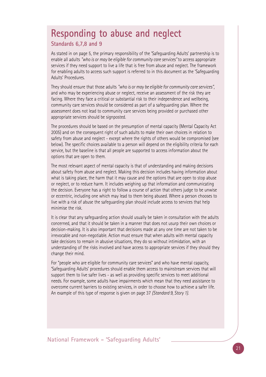### **Standards 6,7,8 and 9**

As stated in on page 5, the primary responsibility of the 'Safeguarding Adults' partnership is to enable all adults *"who is or may be eligible for community care services"* to access appropriate services if they need support to live a life that is free from abuse and neglect. The framework for enabling adults to access such support is referred to in this document as the 'Safeguarding Adults' Procedures.

They should ensure that those adults *"who is or may be eligible for community care services"*, and who may be experiencing abuse or neglect, receive an assessment of the risk they are facing. Where they face a critical or substantial risk to their independence and wellbeing, community care services should be considered as part of a safeguarding plan. Where the assessment does not lead to community care services being provided or purchased other appropriate services should be signposted.

The procedures should be based on the presumption of mental capacity (Mental Capacity Act 2005) and on the consequent right of such adults to make their own choices in relation to safety from abuse and neglect - except where the rights of others would be compromised (see below). The specific choices available to a person will depend on the eligibility criteria for each service, but the baseline is that all people are supported to access information about the options that are open to them.

The most relevant aspect of mental capacity is that of understanding and making decisions about safety from abuse and neglect. Making this decision includes having information about what is taking place, the harm that it may cause and the options that are open to stop abuse or neglect, or to reduce harm. It includes weighing up that information and communicating the decision. Everyone has a right to follow a course of action that others judge to be unwise or eccentric, including one which may lead to them being abused. Where a person chooses to live with a risk of abuse the safeguarding plan should include access to services that help minimise the risk.

It is clear that any safeguarding action should usually be taken in consultation with the adults concerned, and that it should be taken in a manner that does not usurp their own choices or decision-making. It is also important that decisions made at any one time are not taken to be irrevocable and non-negotiable. Action must ensure that when adults with mental capacity take decisions to remain in abusive situations, they do so without intimidation, with an understanding of the risks involved and have access to appropriate services if they should they change their mind.

For "people who are eligible for community care services" and who have mental capacity, 'Safeguarding Adults' procedures should enable them access to mainstream services that will support them to live safer lives - as well as providing specific services to meet additional needs. For example, some adults have impairments which mean that they need assistance to overcome current barriers to existing services, in order to choose how to achieve a safer life. An example of this type of response is given on page 37 *(Standard 9, Story 1).*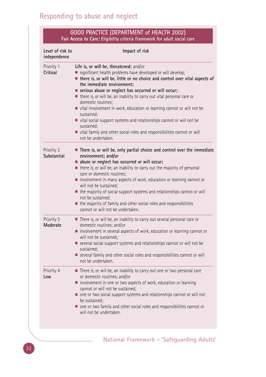| Level of risk to<br>independence | Impact of risk                                                                                                                                                                                                                                                                                                                                                                                                                                                                                                                                                                                                                                             |
|----------------------------------|------------------------------------------------------------------------------------------------------------------------------------------------------------------------------------------------------------------------------------------------------------------------------------------------------------------------------------------------------------------------------------------------------------------------------------------------------------------------------------------------------------------------------------------------------------------------------------------------------------------------------------------------------------|
| Priority 1<br>Critical           | Life is, or will be, threatened; and/or<br>significant health problems have developed or will develop;<br>there is, or will be, little or no choice and control over vital aspects of<br>the immediate environment;<br>serious abuse or neglect has occurred or will occur;<br>there is, or will be, an inability to carry out vital personal care or<br>domestic routines;<br>vital involvement in work, education or learning cannot or will not be<br>sustained;<br>vital social support systems and relationships cannot or will not be<br>sustained;<br>vital family and other social roles and responsibilities cannot or will<br>not be undertaken. |
| Priority 2<br>Substantial        | There is, or will be, only partial choice and control over the immediate<br>environment; and/or<br>abuse or neglect has occurred or will occur;<br>$\blacksquare$ there is, or will be, an inability to carry out the majority of personal<br>care or domestic routines;<br>number in many aspects of work, education or learning cannot or<br>will not be sustained;<br>the majority of social support systems and relationships cannot or will<br>not be sustained;<br>the majority of family and other social roles and responsibilities<br>cannot or will not be undertaken.                                                                           |
| Priority 3<br>Moderate           | There is, or will be, an inability to carry out several personal care or<br>domestic routines; and/or<br>nivolvement in several aspects of work, education or learning cannot or<br>will not be sustained;<br>several social support systems and relationships cannot or will not be<br>sustained;<br>several family and other social roles and responsibilities cannot or will<br>not be undertaken.                                                                                                                                                                                                                                                      |
| Priority 4<br>Low                | There is, or will be, an inability to carry out one or two personal care<br>or domestic routines; and/or<br>nivolvement in one or two aspects of work, education or learning<br>cannot or will not be sustained;<br>one or two social support systems and relationships cannot or will not<br>be sustained;<br>one or two family and other social roles and responsibilities cannot or<br>will not be undertaken.                                                                                                                                                                                                                                          |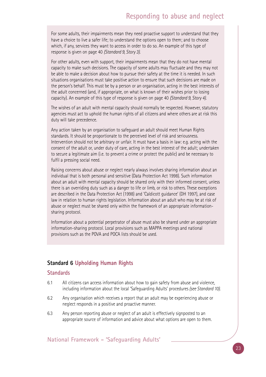For some adults, their impairments mean they need proactive support to understand that they have a choice to live a safer life; to understand the options open to them; and to choose which, if any, services they want to access in order to do so. An example of this type of response is given on page 40 *(Standard 9, Story 3).*

For other adults, even with support, their impairments mean that they do not have mental capacity to make such decisions. The capacity of some adults may fluctuate and they may not be able to make a decision about how to pursue their safety at the time it is needed. In such situations organisations must take positive action to ensure that such decisions are made on the person's behalf. This must be by a person or an organisation, acting in the best interests of the adult concerned (and, if appropriate, on what is known of their wishes prior to losing capacity). An example of this type of response is given on page 40 *(Standard 9, Story 4).*

The wishes of an adult with mental capacity should normally be respected. However, statutory agencies must act to uphold the human rights of all citizens and where others are at risk this duty will take precedence.

Any action taken by an organisation to safeguard an adult should meet Human Rights standards. It should be proportionate to the perceived level of risk and seriousness. Intervention should not be arbitrary or unfair. It must have a basis in law: e.g. acting with the consent of the adult or, under duty of care, acting in the best interest of the adult; undertaken to secure a legitimate aim (i.e. to prevent a crime or protect the public) and be necessary to fulfil a pressing social need.

Raising concerns about abuse or neglect nearly always involves sharing information about an individual that is both personal and sensitive (Data Protection Act 1998). Such information about an adult with mental capacity should be shared only with their informed consent, unless there is an overriding duty such as a danger to life or limb, or risk to others. These exceptions are described in the Data Protection Act (1998) and 'Caldicott guidance' (DH 1997), and case law in relation to human rights legislation. Information about an adult who may be at risk of abuse or neglect must be shared only within the framework of an appropriate informationsharing protocol.

Information about a potential perpetrator of abuse must also be shared under an appropriate information-sharing protocol. Local provisions such as MAPPA meetings and national provisions such as the POVA and POCA lists should be used.

### **Standard 6 Upholding Human Rights**

### **Standards**

- 6.1 All citizens can access information about how to gain safety from abuse and violence, including information about the local 'Safeguarding Adults' procedures *(see Standard 10).*
- 6.2 Any organisation which receives a report that an adult may be experiencing abuse or neglect responds in a positive and proactive manner.
- 6.3 Any person reporting abuse or neglect of an adult is effectively signposted to an appropriate source of information and advice about what options are open to them.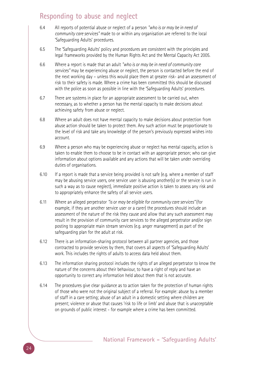- 6.4 All reports of potential abuse or neglect of a person *"who is or may be in need of community care services"* made to or within any organisation are referred to the local 'Safeguarding Adults' procedures.
- 6.5 The 'Safeguarding Adults' policy and procedures are consistent with the principles and legal frameworks provided by the Human Rights Act and the Mental Capacity Act 2005.
- 6.6 Where a report is made that an adult *"who is or may be in need of community care services"* may be experiencing abuse or neglect, the person is contacted before the end of the next working day – unless this would place them at greater risk- and an assessment of risk to their safety is made. Where a crime has been committed this should be discussed with the police as soon as possible in line with the 'Safeguarding Adults' procedures.
- 6.7 There are systems in place for an appropriate assessment to be carried out, when necessary, as to whether a person has the mental capacity to make decisions about achieving safety from abuse or neglect.
- 6.8 Where an adult does not have mental capacity to make decisions about protection from abuse action should be taken to protect them. Any such action must be proportionate to the level of risk and take any knowledge of the person's previously expressed wishes into account.
- 6.9 Where a person who may be experiencing abuse or neglect has mental capacity, action is taken to enable them to choose to be in contact with an appropriate person; who can give information about options available and any actions that will be taken under overriding duties of organisations.
- 6.10 If a report is made that a service being provided is not safe (e.g. where a member of staff may be abusing service users, one service user is abusing another(s) or the service is run in such a way as to cause neglect), immediate positive action is taken to assess any risk and to appropriately enhance the safety of all service users.
- 6.11 Where an alleged perpetrator *"is or may be eligible for community care services"* (for example, if they are another service user or a carer) the procedures should include an assessment of the nature of the risk they cause and allow that any such assessment may result in the provision of community care services to the alleged perpetrator and/or sign posting to appropriate main stream services (e.g. anger management) as part of the safeguarding plan for the adult at risk.
- 6.12 There is an information-sharing protocol between all partner agencies, and those contracted to provide services by them, that covers all aspects of 'Safeguarding Adults' work. This includes the rights of adults to access data held about them.
- 6.13 The information sharing protocol includes the rights of an alleged perpetrator to know the nature of the concerns about their behaviour, to have a right of reply and have an opportunity to correct any information held about them that is not accurate.
- 6.14 The procedures give clear guidance as to action taken for the protection of human rights of those who were not the original subject of a referral. For example: abuse by a member of staff in a care setting; abuse of an adult in a domestic setting where children are present; violence or abuse that causes 'risk to life or limb' and abuse that is unacceptable on grounds of public interest - for example where a crime has been committed.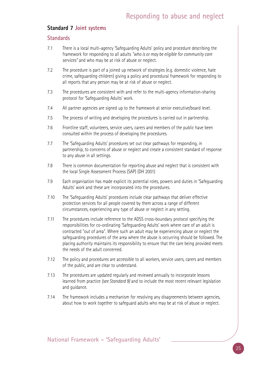### **Standard 7 Joint systems**

### **Standards**

- 7.1 There is a local multi-agency 'Safeguarding Adults' policy and procedure describing the framework for responding to all adults *"who is or may be eligible for community care services"* and who may be at risk of abuse or neglect.
- 7.2 The procedure is part of a joined up network of strategies (e.g. domestic violence, hate crime, safeguarding children) giving a policy and procedural framework for responding to all reports that any person may be at risk of abuse or neglect.
- 7.3 The procedures are consistent with and refer to the multi-agency information-sharing protocol for 'Safeguarding Adults' work.
- 7.4 All partner agencies are signed up to the framework at senior executive/board level.
- 7.5 The process of writing and developing the procedures is carried out in partnership.
- 7.6 Frontline staff, volunteers, service users, carers and members of the public have been consulted within the process of developing the procedures.
- 7.7 The 'Safeguarding Adults' procedures set out clear pathways for responding, in partnership, to concerns of abuse or neglect and create a consistent standard of response to any abuse in all settings.
- 7.8 There is common documentation for reporting abuse and neglect that is consistent with the local Single Assessment Process (SAP) (DH 2001)
- 7.9 Each organisation has made explicit its potential roles, powers and duties in 'Safeguarding Adults' work and these are incorporated into the procedures.
- 7.10 The 'Safeguarding Adults' procedures include clear pathways that deliver effective protection services for all people covered by them across a range of different circumstances, experiencing any type of abuse or neglect in any setting.
- 7.11 The procedures include reference to the ADSS cross-boundary protocol specifying the responsibilities for co-ordinating 'Safeguarding Adults' work where care of an adult is contracted "out of area". Where such an adult may be experiencing abuse or neglect the safeguarding procedures of the area where the abuse is occurring should be followed. The placing authority maintains its responsibility to ensure that the care being provided meets the needs of the adult concerned.
- 7.12 The policy and procedures are accessible to all workers, service users, carers and members of the public, and are clear to understand.
- 7.13 The procedures are updated regularly and reviewed annually to incorporate lessons learned from practice *(see Standard 9)* and to include the most recent relevant legislation and guidance.
- 7.14 The framework includes a mechanism for resolving any disagreements between agencies, about how to work together to safeguard adults who may be at risk of abuse or neglect.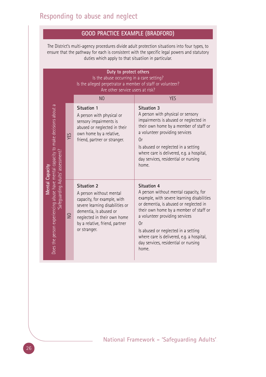### **GOOD PRACTICE EXAMPLE (BRADFORD)**

The District's multi-agency procedures divide adult protection situations into four types, to ensure that the pathway for each is consistent with the specific legal powers and statutory duties which apply to that situatiion in particular.

| Duty to protect others<br>Is the abuse occurring in a care setting?<br>Is the alleged perpetrator a member of staff or volunteer?<br>Are other service users at risk? |              |                                                                                                                                                                                                                     |                                                                                                                                                                                                                                                                                                                                                                     |  |  |  |
|-----------------------------------------------------------------------------------------------------------------------------------------------------------------------|--------------|---------------------------------------------------------------------------------------------------------------------------------------------------------------------------------------------------------------------|---------------------------------------------------------------------------------------------------------------------------------------------------------------------------------------------------------------------------------------------------------------------------------------------------------------------------------------------------------------------|--|--|--|
|                                                                                                                                                                       |              | N <sub>O</sub>                                                                                                                                                                                                      | <b>YES</b>                                                                                                                                                                                                                                                                                                                                                          |  |  |  |
|                                                                                                                                                                       | YES          | Situation 1<br>A person with physical or<br>sensory impairments is<br>abused or neglected in their<br>own home by a relative,<br>friend, partner or stranger.                                                       | Situation 3<br>A person with physical or sensory<br>impairments is abused or neglected in<br>their own home by a member of staff or<br>a volunteer providing services<br>0r<br>Is abused or neglected in a setting<br>where care is delivered, e.g. a hospital,<br>day services, residential or nursing<br>home.                                                    |  |  |  |
| Does the person experiencing abuse have mental capacity to make decisions about a<br>Safeguarding Adults' assessment?<br><b>Mental Capacity</b>                       | $\mathsf{S}$ | Situation 2<br>A person without mental<br>capacity, for example, with<br>severe learning disabilities or<br>dementia, is abused or<br>neglected in their own home<br>by a relative, friend, partner<br>or stranger. | Situation 4<br>A person without mental capacity, for<br>example, with severe learning disabilities<br>or dementia, is abused or neglected in<br>their own home by a member of staff or<br>a volunteer providing services<br>0r<br>Is abused or neglected in a setting<br>where care is delivered, e.g. a hospital,<br>day services, residential or nursing<br>home. |  |  |  |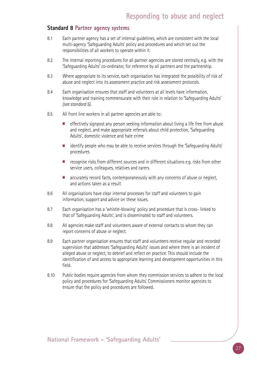### **Standard 8 Partner agency systems**

- 8.1 Each partner agency has a set of internal guidelines, which are consistent with the local multi-agency 'Safeguarding Adults' policy and procedures and which set out the responsibilities of all workers to operate within it.
- 8.2 The internal reporting procedures for all partner agencies are stored centrally, e.g. with the 'Safeguarding Adults' co-ordinator, for reference by all partners and the partnership.
- 8.3 Where appropriate to its service, each organisation has integrated the possibility of risk of abuse and neglect into its assessment practice and risk assessment protocols.
- 8.4 Each organisation ensures that staff and volunteers at all levels have information, knowledge and training commensurate with their role in relation to 'Safeguarding Adults' *(see standard 5).*
- 8.5 All front line workers in all partner agencies are able to:
	- effectively signpost any person seeking information about living a life free from abuse and neglect, and make appropriate referrals about child protection, 'Safeguarding Adults', domestic violence and hate crime
	- identify people who may be able to receive services through the 'Safeguarding Adults' procedures
	- recognise risks from different sources and in different situations e.g. risks from other service users, colleagues, relatives and carers
	- accurately record facts, contemporaneously with any concerns of abuse or neglect, and actions taken as a result
- 8.6 All organisations have clear internal processes for staff and volunteers to gain information, support and advice on these issues.
- 8.7 Each organisation has a 'whistle-blowing' policy and procedure that is cross- linked to that of 'Safeguarding Adults', and is disseminated to staff and volunteers.
- 8.8 All agencies make staff and volunteers aware of external contacts to whom they can report concerns of abuse or neglect.
- 8.9 Each partner organisation ensures that staff and volunteers receive regular and recorded supervision that addresses 'Safeguarding Adults' issues and where there is an incident of alleged abuse or neglect, to debrief and reflect on practice. This should include the identification of and access to appropriate learning and development opportunities in this field.
- 8.10 Public bodies require agencies from whom they commission services to adhere to the local policy and procedures for 'Safeguarding Adults'. Commissioners monitor agencies to ensure that the policy and procedures are followed.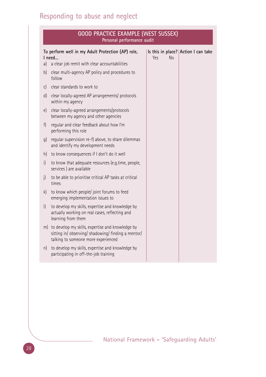|                | <b>GOOD PRACTICE EXAMPLE (WEST SUSSEX)</b><br>Personal performance audit                                                                          |           |                                     |  |  |
|----------------|---------------------------------------------------------------------------------------------------------------------------------------------------|-----------|-------------------------------------|--|--|
|                | To perform well in my Adult Protection (AP) role,<br>I need                                                                                       | Yes<br>No | Is this in place? Action I can take |  |  |
| a)             | a clear job remit with clear accountabilities                                                                                                     |           |                                     |  |  |
| $\mathfrak{b}$ | clear multi-agency AP policy and procedures to<br>follow                                                                                          |           |                                     |  |  |
| c)             | clear standards to work to                                                                                                                        |           |                                     |  |  |
| d)             | clear locally-agreed AP arrangements/ protocols<br>within my agency                                                                               |           |                                     |  |  |
| $\epsilon$     | clear locally-agreed arrangements/protocols<br>between my agency and other agencies                                                               |           |                                     |  |  |
| f              | regular and clear feedback about how I'm<br>performing this role                                                                                  |           |                                     |  |  |
| q)             | regular supervision re-f) above, to share dilemmas<br>and identify my development needs                                                           |           |                                     |  |  |
| h)             | to know consequences if I don't do it well                                                                                                        |           |                                     |  |  |
| i)             | to know that adequate resources (e.g.time, people,<br>services) are available                                                                     |           |                                     |  |  |
| j)             | to be able to prioritise critical AP tasks at critical<br>times                                                                                   |           |                                     |  |  |
| k)             | to know which people/ joint forums to feed<br>emerging implementation issues to                                                                   |           |                                     |  |  |
| $\mathbf{I}$   | to develop my skills, expertise and knowledge by<br>actually working on real cases, reflecting and<br>learning from them                          |           |                                     |  |  |
|                | m) to develop my skills, expertise and knowledge by<br>sitting in/ observing/ shadowing/ finding a mentor/<br>talking to someone more experienced |           |                                     |  |  |
| n)             | to develop my skills, expertise and knowledge by<br>participating in off-the-job training                                                         |           |                                     |  |  |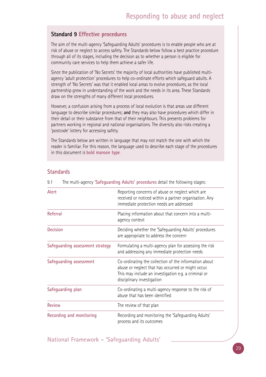### **Standard 9 Effective procedures**

The aim of the multi-agency 'Safeguarding Adults' procedures is to enable people who are at risk of abuse or neglect to access safety. The Standards below follow a best practice procedure through all of its stages, including the decision as to whether a person is eligible for community care services to help them achieve a safer life.

Since the publication of 'No Secrets' the majority of local authorities have published multiagency 'adult protection' procedures to help co-ordinate efforts which safeguard adults. A strength of 'No Secrets' was that it enabled local areas to evolve procedures, as the local partnership grew in understanding of the work and the needs in its area. These Standards draw on the strengths of many different local procedures.

However, a confusion arising from a process of local evolution is that areas use different language to describe similar procedures; **and** they may also have procedures which differ in their detail or their substance from that of their neighbours. This presents problems for partners working in regional and national organisations. The diversity also risks creating a 'postcode' lottery for accessing safety.

The Standards below are written in language that may not match the one with which the reader is familiar. For this reason, the language used to describe each stage of the procedures in this document is **bold maroon type**.

| 9.1                              | The multi-agency 'Safeguarding Adults' procedures detail the following stages:                                                                                                                    |
|----------------------------------|---------------------------------------------------------------------------------------------------------------------------------------------------------------------------------------------------|
| Alert                            | Reporting concerns of abuse or neglect which are<br>received or noticed within a partner organisation. Any<br>immediate protection needs are addressed                                            |
| Referral                         | Placing information about that concern into a multi-<br>agency context                                                                                                                            |
| Decision                         | Deciding whether the 'Safeguarding Adults' procedures<br>are appropriate to address the concern                                                                                                   |
| Safeguarding assessment strategy | Formulating a multi-agency plan for assessing the risk<br>and addressing any immediate protection needs                                                                                           |
| Safeguarding assessment          | Co-ordinating the collection of the information about<br>abuse or neglect that has occurred or might occur.<br>This may include an investigation e.g. a criminal or<br>disciplinary investigation |
| Safeguarding plan                | Co-ordinating a multi-agency response to the risk of<br>abuse that has been identified                                                                                                            |
| <b>Review</b>                    | The review of that plan                                                                                                                                                                           |
| Recording and monitoring         | Recording and monitoring the 'Safeguarding Adults'<br>process and its outcomes                                                                                                                    |

### **Standards**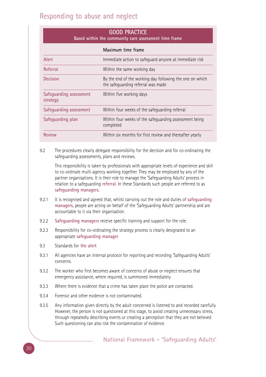| <b>GOOD PRACTICE</b><br>Based within the community care assessment time frame |                                                                                                |  |  |
|-------------------------------------------------------------------------------|------------------------------------------------------------------------------------------------|--|--|
|                                                                               | Maximum time frame                                                                             |  |  |
| Alert                                                                         | Immediate action to safeguard anyone at immediate risk                                         |  |  |
| Referral                                                                      | Within the same working day                                                                    |  |  |
| <b>Decision</b>                                                               | By the end of the working day following the one on which<br>the safequarding referral was made |  |  |
| Safequarding assessment<br>strategy                                           | Within five working days                                                                       |  |  |
| Safeguarding assessment                                                       | Within four weeks of the safeguarding referral                                                 |  |  |
| Safeguarding plan                                                             | Within four weeks of the safeguarding assessment being<br>completed                            |  |  |
| <b>Review</b>                                                                 | Within six months for first review and thereafter yearly                                       |  |  |

9.2 The procedures clearly delegate responsibility for the decision and for co-ordinating the safeguarding assessments, plans and reviews.

This responsibility is taken by professionals with appropriate levels of experience and skill to co-ordinate multi-agency working together. They may be employed by any of the partner organisations. It is their role to manage the 'Safeguarding Adults' process in relation to a safeguarding **referral**. In these Standards such people are referred to as **safeguarding managers.**

- 9.2.1 It is recognised and agreed that, whilst carrying out the role and duties of **safeguarding managers,** people are acting on behalf of the 'Safeguarding Adults' partnership and are accountable to it via their organisation.
- 9.2.2 **Safeguarding managers** receive specific training and support for the role.
- 9.2.3 Responsibility for co-ordinating the strategy process is clearly designated to an appropriate **safeguarding manager**
- 9.3 Standards for **the alert**
- 9.3.1 All agencies have an internal protocol for reporting and recording 'Safeguarding Adults' concerns.
- 9.3.2 The worker who first becomes aware of concerns of abuse or neglect ensures that emergency assistance, where required, is summoned immediately.
- 9.3.3 Where there is evidence that a crime has taken place the police are contacted.
- 9.3.4 Forensic and other evidence is not contaminated.
- 9.3.5 Any information given directly by the adult concerned is listened to and recorded carefully. However, the person is not questioned at this stage, to avoid creating unnecessary stress, through repeatedly describing events or creating a perception that they are not believed Such questioning can also risk the contamination of evidence.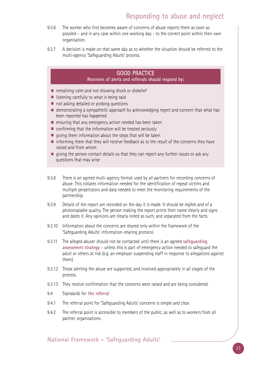- 9.3.6 The worker who first becomes aware of concerns of abuse reports them as soon as possible - and in any case within one working day - to the correct point within their own organisation.
- 9.3.7 A decision is made on that same day as to whether the situation should be referred to the multi-agency 'Safeguarding Adults' process.

### **GOOD PRACTICE Receivers of alerts and referrals should respond by:**

- remaining calm and not showing shock or disbelief
- listening carefully to what is being said
- not asking detailed or probing questions
- demonstrating a sympathetic approach by acknowledging regret and concern that what has been reported has happened
- ensuring that any emergency action needed has been taken
- confirming that the information will be treated seriously
- $\blacksquare$  giving them information about the steps that will be taken
- informing them that they will receive feedback as to the result of the concerns they have raised and from whom
- giving the person contact details so that they can report any further issues or ask any questions that may arise
- 9.3.8 There is an agreed multi-agency format used by all partners for recording concerns of abuse. This collates information needed for the identification of repeat victims and multiple perpetrators and data needed to meet the monitoring requirements of the partnership.
- 9.3.9 Details of the report are recorded on the day it is made. It should be legible and of a photocopiable quality. The person making the report prints their name clearly and signs and dates it. Any opinions are clearly noted as such, and separated from the facts.
- 9.3.10 Information about the concerns are shared only within the framework of the 'Safeguarding Adults' information-sharing protocol.
- 9.3.11 The alleged abuser should not be contacted until there is an agreed **safeguarding assessment strategy** - unless this is part of emergency action needed to safeguard the adult or others at risk (e.g. an employer suspending staff in response to allegations against them).
- 9.3.12 Those alerting the abuse are supported, and involved appropriately in all stages of the process.
- 9.3.13 They receive confirmation that the concerns were raised and are being considered.
- 9.4 Standards for **the referral**
- 9.4.1 The referral point for 'Safeguarding Adults' concerns is simple and clear.
- 9.4.2 The referral point is accessible to members of the public, as well as to workers from all partner organisations.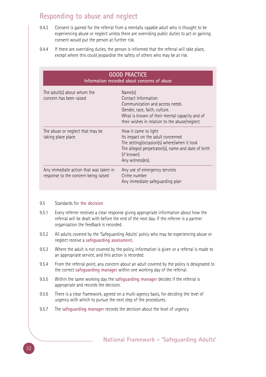- 9.4.3 Consent is gained for the referral from a mentally capable adult who is thought to be experiencing abuse or neglect unless there are overriding public duties to act or gaining consent would put the person at further risk.
- 9.4.4 If there are overriding duties, the person is informed that the referral will take place, except where this could jeopardise the safety of others who may be at risk.

| <b>GOOD PRACTICE</b><br>Information recorded about concerns of abuse           |                                                                                                                                                                                                      |  |  |
|--------------------------------------------------------------------------------|------------------------------------------------------------------------------------------------------------------------------------------------------------------------------------------------------|--|--|
| The adult(s) about whom the<br>concern has been raised                         | Name(s)<br>Contact information<br>Communication and access needs<br>Gender, race, faith, culture.<br>What is known of their mental capacity and of<br>their wishes in relation to the abuse/neglect. |  |  |
| The abuse or neglect that may be<br>taking place place                         | How it came to light<br>Its impact on the adult concerned<br>The setting/occasion(s) where/when it took<br>The alleged perpetrator(s), name and date of birth<br>(if known)<br>Any witness(es).      |  |  |
| Any immediate action that was taken in<br>response to the concern being raised | Any use of emergency services<br>Crime number<br>Any immediate safeguarding plan                                                                                                                     |  |  |

### 9.5 Standards for **the decision**

- 9.5.1 Every referrer receives a clear response giving appropriate information about how the referral will be dealt with before the end of the next day. If the referrer is a partner organisation the feedback is recorded.
- 9.5.2 All adults covered by the 'Safeguarding Adults' policy who may be experiencing abuse or neglect receive a **safeguarding assessment.**
- 9.5.3 Where the adult is not covered by the policy, information is given or a referral is made to an appropriate service, and this action is recorded.
- 9.5.4 From the referral point, any concern about an adult covered by the policy is designated to the correct **safeguarding manager** within one working day of the referral.
- 9.5.5 Within the same working day the **safeguarding manager** decides if the referral is appropriate and records the decision.
- 9.5.6 There is a clear framework, agreed on a multi-agency basis, for deciding the level of urgency with which to pursue the next step of the procedures.
- 9.5.7 The **safeguarding manager** records the decision about the level of urgency.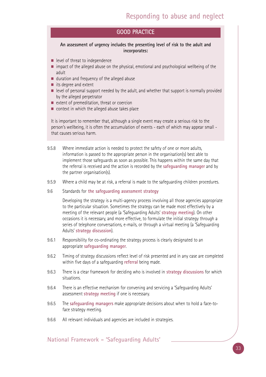### **GOOD PRACTICE**

### **An assessment of urgency includes the presenting level of risk to the adult and incorporates:**

- level of threat to independence
- impact of the alleged abuse on the physical, emotional and psychological wellbeing of the adult
- duration and frequency of the alleged abuse
- its degree and extent
- level of personal support needed by the adult, and whether that support is normally provided by the alleged perpetrator
- extent of premeditation, threat or coercion
- context in which the alleged abuse takes place

It is important to remember that, although a single event may create a serious risk to the person's wellbeing, it is often the accumulation of events - each of which may appear small that causes serious harm.

- 9.5.8 Where immediate action is needed to protect the safety of one or more adults, information is passed to the appropriate person in the organisation(s) best able to implement those safeguards as soon as possible. This happens within the same day that the referral is received and the action is recorded by the **safeguarding manager** and by the partner organisation(s).
- 9.5.9 Where a child may be at risk, a referral is made to the safeguarding children procedures.

#### 9.6 Standards for **the safeguarding assessment strategy**

Developing the strategy is a multi-agency process involving all those agencies appropriate to the particular situation. Sometimes the strategy can be made most effectively by a meeting of the relevant people (a 'Safeguarding Adults' **strategy meeting**). On other occasions it is necessary, and more effective, to formulate the initial strategy through a series of telephone conversations, e-mails, or through a virtual meeting (a 'Safeguarding Adults' **strategy discussion**).

- 9.6.1 Responsibility for co-ordinating the strategy process is clearly designated to an appropriate **safeguarding manager**.
- 9.6.2 Timing of strategy discussions reflect level of risk presented and in any case are completed within five days of a safeguarding **referral** being made.
- 9.6.3 There is a clear framework for deciding who is involved in **strategy discussions** for which situations.
- 9.6.4 There is an effective mechanism for convening and servicing a 'Safeguarding Adults' assessment **strategy meeting** if one is necessary.
- 9.6.5 The **safeguarding managers** make appropriate decisions about when to hold a face-toface strategy meeting.
- 9.6.6 All relevant individuals and agencies are included in strategies.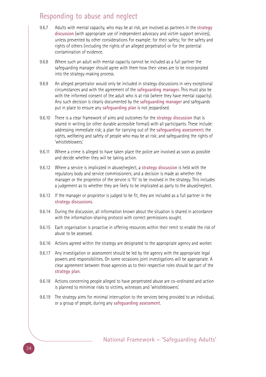- 9.6.7 Adults with mental capacity, who may be at risk, are involved as partners in the **strategy discussion** (with appropriate use of independent advocacy and victim support services), unless prevented by other considerations For example: for their safety; for the safety and rights of others (including the rights of an alleged perpetrator) or for the potential contamination of evidence.
- 9.6.8 Where such an adult with mental capacity cannot be included as a full partner the safeguarding manager should agree with them how their views are to be incorporated into the strategy-making process.
- 9.6.9 An alleged perpetrator would only be included in strategy discussions in very exceptional circumstances and with the agreement of the **safeguarding manager.** This must also be with the informed consent of the adult who is at risk (where they have mental capacity). Any such decision is clearly documented by the **safeguarding manager** and safeguards put in place to ensure any **safeguarding plan** is not jeopardised.
- 9.6.10 There is a clear framework of aims and outcomes for the **strategy discussion** that is shared in writing (or other durable accessible format) with all participants. These include: addressing immediate risk; a plan for carrying out of the **safeguarding assessment;** the rights, wellbeing and safety of people who may be at risk; and safeguarding the rights of 'whistleblowers'.
- 9.6.11 Where a crime is alleged to have taken place the police are involved as soon as possible and decide whether they will be taking action.
- 9.6.12 Where a service is implicated in abuse/neglect, a **strategy discussion** is held with the regulatory body and service commissioners; and a decision is made as whether the manager or the proprietor of the service is 'fit' to be involved in the strategy. This includes a judgement as to whether they are likely to be implicated as party to the abuse/neglect.
- 9.6.13 If the manager or proprietor is judged to be fit, they are included as a full partner in the **strategy discussions**.
- 9.6.14 During the discussion, all information known about the situation is shared in accordance with the information-sharing protocol with correct permissions sought.
- 9.6.15 Each organisation is proactive in offering resources within their remit to enable the risk of abuse to be assessed.
- 9.6.16 Actions agreed within the strategy are designated to the appropriate agency and worker.
- 9.6.17 Any investigation or assessment should be led by the agency with the appropriate legal powers and responsibilities. On some occasions joint investigations will be appropriate. A clear agreement between those agencies as to their respective roles should be part of the **strategy plan**.
- 9.6.18 Actions concerning people alleged to have perpetrated abuse are co-ordinated and action is planned to minimise risks to victims, witnesses and 'whistleblowers'.
- 9.6.19 The strategy aims for minimal interruption to the services being provided to an individual, or a group of people, during any **safeguarding assessment**.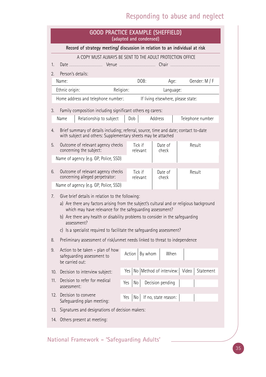| <b>GOOD PRACTICE EXAMPLE (SHEFFIELD)</b>                                                                                                                                                                                                                                                                                                                                                   |                                                 |         | (adapted and condensed) |                                    |        |                    |
|--------------------------------------------------------------------------------------------------------------------------------------------------------------------------------------------------------------------------------------------------------------------------------------------------------------------------------------------------------------------------------------------|-------------------------------------------------|---------|-------------------------|------------------------------------|--------|--------------------|
| Record of strategy meeting/ discussion in relation to an individual at risk                                                                                                                                                                                                                                                                                                                |                                                 |         |                         |                                    |        |                    |
| A COPY MUST ALWAYS BE SENT TO THE ADULT PROTECTION OFFICE                                                                                                                                                                                                                                                                                                                                  |                                                 |         |                         |                                    |        |                    |
| 1.                                                                                                                                                                                                                                                                                                                                                                                         |                                                 |         |                         |                                    |        |                    |
| Person's details:<br>2.                                                                                                                                                                                                                                                                                                                                                                    |                                                 |         |                         |                                    |        |                    |
| Name:                                                                                                                                                                                                                                                                                                                                                                                      |                                                 |         | DOB:                    | Age:                               |        | Gender: M / F      |
| Ethnic origin:                                                                                                                                                                                                                                                                                                                                                                             | Religion:                                       |         |                         | Language:                          |        |                    |
| Home address and telephone number:                                                                                                                                                                                                                                                                                                                                                         |                                                 |         |                         | If living elsewhere, please state: |        |                    |
| Family composition including significant others eg carers:<br>3.                                                                                                                                                                                                                                                                                                                           |                                                 |         |                         |                                    |        |                    |
| Relationship to subject<br>Name                                                                                                                                                                                                                                                                                                                                                            |                                                 | Dob     |                         | Address                            |        | Telephone number   |
| Brief summary of details including; referral, source, time and date; contact to-date<br>4.<br>with subject and others: Supplementary sheets may be attached                                                                                                                                                                                                                                |                                                 |         |                         |                                    |        |                    |
| 5.<br>Outcome of relevant agency checks<br>concerning the subject:                                                                                                                                                                                                                                                                                                                         | Tick if<br>relevant                             |         | Date of<br>check        |                                    | Result |                    |
| Name of agency (e.g. GP, Police, SSD)                                                                                                                                                                                                                                                                                                                                                      |                                                 |         |                         |                                    |        |                    |
| Outcome of relevant agency checks<br>6.<br>concerning alleged perpetrator:<br>Name of agency (e.g. GP, Police, SSD)                                                                                                                                                                                                                                                                        |                                                 | Tick if | relevant                | Date of<br>check                   |        | Result             |
| Give brief details in relation to the following:<br>7.<br>a) Are there any factors arising from the subject's cultural and or religious background<br>which may have relevance for the safeguarding assessment?<br>b) Are there any health or disability problems to consider in the safeguarding<br>assessment?<br>c) Is a specialist required to facilitate the safeguarding assessment? |                                                 |         |                         |                                    |        |                    |
| Preliminary assessment of risk/unmet needs linked to threat to independence<br>8.                                                                                                                                                                                                                                                                                                          |                                                 |         |                         |                                    |        |                    |
| Action to be taken - plan of how<br>9.<br>safequarding assessment to<br>be carried out:                                                                                                                                                                                                                                                                                                    |                                                 | Action  | By whom                 | When                               |        |                    |
| Decision to interview subject:<br>10.                                                                                                                                                                                                                                                                                                                                                      |                                                 |         |                         | Yes   No   Method of interview:    |        | Statement<br>Video |
| Decision to refer for medical<br>11.<br>assessment:                                                                                                                                                                                                                                                                                                                                        | Yes                                             | No      |                         | Decision pending                   |        |                    |
| 12. Decision to convene<br>Safeguarding plan meeting:                                                                                                                                                                                                                                                                                                                                      | Yes                                             | No      |                         | If no, state reason:               |        |                    |
| 13.                                                                                                                                                                                                                                                                                                                                                                                        | Signatures and designations of decision makers: |         |                         |                                    |        |                    |
| Others present at meeting:<br>14.                                                                                                                                                                                                                                                                                                                                                          |                                                 |         |                         |                                    |        |                    |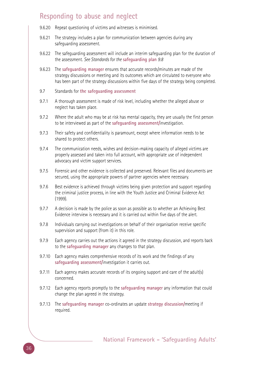- 9.6.20 Repeat questioning of victims and witnesses is minimised.
- 9.6.21 The strategy includes a plan for communication between agencies during any safeguarding assessment.
- 9.6.22 The safeguarding assessment will include an interim safeguarding plan for the duration of the assessment. *See Standards for the* **safeguarding plan** *9.8*
- 9.6.23 The **safeguarding manager** ensures that accurate records/minutes are made of the strategy discussions or meeting and its outcomes which are circulated to everyone who has been part of the strategy discussions within five days of the strategy being completed.
- 9.7 Standards for **the safeguarding assessment**
- 9.7.1 A thorough assessment is made of risk level, including whether the alleged abuse or neglect has taken place.
- 9.7.2 Where the adult who may be at risk has mental capacity, they are usually the first person to be interviewed as part of the **safeguarding assessment/**investigation.
- 9.7.3 Their safety and confidentiality is paramount, except where information needs to be shared to protect others.
- 9.7.4 The communication needs, wishes and decision-making capacity of alleged victims are properly assessed and taken into full account, with appropriate use of independent advocacy and victim support services.
- 9.7.5 Forensic and other evidence is collected and preserved. Relevant files and documents are secured, using the appropriate powers of partner agencies where necessary.
- 9.7.6 Best evidence is achieved through victims being given protection and support regarding the criminal justice process, in line with the Youth Justice and Criminal Evidence Act (1999).
- 9.7.7 A decision is made by the police as soon as possible as to whether an Achieving Best Evidence interview is necessary and it is carried out within five days of the alert.
- 9.7.8 Individuals carrying out investigations on behalf of their organisation receive specific supervision and support (from it) in this role.
- 9.7.9 Each agency carries out the actions it agreed in the strategy discussion, and reports back to the **safeguarding manager** any changes to that plan.
- 9.7.10 Each agency makes comprehensive records of its work and the findings of any **safeguarding assessment/**investigation it carries out.
- 9.7.11 Each agency makes accurate records of its ongoing support and care of the adult(s) concerned.
- 9.7.12 Each agency reports promptly to the **safeguarding manager** any information that could change the plan agreed in the strategy.
- 9.7.13 The **safeguarding manager** co-ordinates an update **strategy discussion/**meeting if required.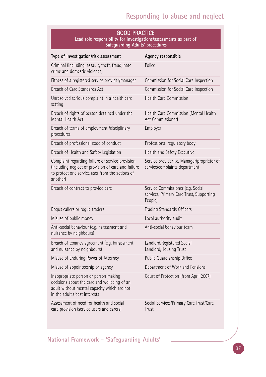### **GOOD PRACTICE**

**Lead role responsibility for investigations/assessments as part of 'Safeguarding Adults' procedures**

| Type of investigation/risk assessment                                                                                                                                  | Agency responsible                                                                       |
|------------------------------------------------------------------------------------------------------------------------------------------------------------------------|------------------------------------------------------------------------------------------|
| Criminal (including, assault, theft, fraud, hate<br>crime and domestic violence)                                                                                       | Police                                                                                   |
| Fitness of a registered service provider/manager                                                                                                                       | Commission for Social Care Inspection                                                    |
| Breach of Care Standards Act                                                                                                                                           | Commission for Social Care Inspection                                                    |
| Unresolved serious complaint in a health care<br>setting                                                                                                               | <b>Health Care Commission</b>                                                            |
| Breach of rights of person detained under the<br>Mental Health Act                                                                                                     | Health Care Commission (Mental Health<br>Act Commissioner)                               |
| Breach of terms of employment /disciplinary<br>procedures                                                                                                              | Employer                                                                                 |
| Breach of professional code of conduct                                                                                                                                 | Professional regulatory body                                                             |
| Breach of Health and Safety Legislation                                                                                                                                | Health and Safety Executive                                                              |
| Complaint regarding failure of service provision<br>(including neglect of provision of care and failure<br>to protect one service user from the actions of<br>another) | Service provider i.e. Manager/proprietor of<br>service/complaints department             |
| Breach of contract to provide care                                                                                                                                     | Service Commissioner (e.g. Social<br>services, Primary Care Trust, Supporting<br>People) |
| Bogus callers or rogue traders                                                                                                                                         | <b>Trading Standards Officers</b>                                                        |
| Misuse of public money                                                                                                                                                 | Local authority audit                                                                    |
| Anti-social behaviour (e.g. harassment and<br>nuisance by neighbours)                                                                                                  | Anti-social behaviour team                                                               |
| Breach of tenancy agreement (e.g. harassment<br>and nuisance by neighbours)                                                                                            | Landlord/Registered Social<br>Landlord/Housing Trust                                     |
| Misuse of Enduring Power of Attorney                                                                                                                                   | Public Guardianship Office                                                               |
| Misuse of appointeeship or agency                                                                                                                                      | Department of Work and Pensions                                                          |
| Inappropriate person or person making<br>decisions about the care and wellbeing of an<br>adult without mental capacity which are not<br>in the adult's best interests  | Court of Protection (from April 2007)                                                    |
| Assessment of need for health and social<br>care provision (service users and carers)                                                                                  | Social Services/Primary Care Trust/Care<br>Trust                                         |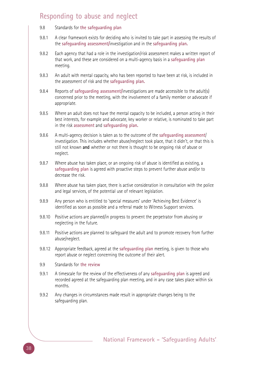- 9.8 Standards for **the safeguarding plan**
- 9.8.1 A clear framework exists for deciding who is invited to take part in assessing the results of the **safeguarding assessment/**investigation and in the **safeguarding plan.**
- 9.8.2 Each agency that had a role in the investigation/risk assessment makes a written report of that work, and these are considered on a multi-agency basis in a **safeguarding plan** meeting.
- 9.8.3 An adult with mental capacity, who has been reported to have been at risk, is included in the assessment of risk and the **safeguarding plan.**
- 9.8.4 Reports of **safeguarding assessment/**investigations are made accessible to the adult(s) concerned prior to the meeting, with the involvement of a family member or advocate if appropriate.
- 9.8.5 Where an adult does not have the mental capacity to be included, a person acting in their best interests, for example and advocate, key worker or relative, is nominated to take part in the risk **assessment** and **safeguarding plan.**
- 9.8.6 A multi-agency decision is taken as to the outcome of the **safeguarding assessment**/ investigation. This includes whether abuse/neglect took place, that it didn't, or that this is still not known **and** whether or not there is thought to be ongoing risk of abuse or neglect.
- 9.8.7 Where abuse has taken place, or an ongoing risk of abuse is identified as existing, a **safeguarding plan** is agreed with proactive steps to prevent further abuse and/or to decrease the risk.
- 9.8.8 Where abuse has taken place, there is active consideration in consultation with the police and legal services, of the potential use of relevant legislation.
- 9.8.9 Any person who is entitled to 'special measures' under 'Achieving Best Evidence' is identified as soon as possible and a referral made to Witness Support services.
- 9.8.10 Positive actions are planned/in progress to prevent the perpetrator from abusing or neglecting in the future.
- 9.8.11 Positive actions are planned to safeguard the adult and to promote recovery from further abuse/neglect.
- 9.8.12 Appropriate feedback, agreed at the **safeguarding plan** meeting, is given to those who report abuse or neglect concerning the outcome of their alert.
- 9.9 Standards for **the review**
- 9.9.1 A timescale for the review of the effectiveness of any **safeguarding plan** is agreed and recorded agreed at the safeguarding plan meeting, and in any case takes place within six months.
- 9.9.2 Any changes in circumstances made result in appropriate changes being to the safeguarding plan.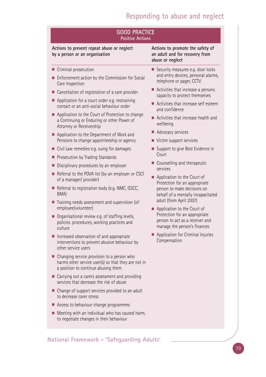| <b>GOOD PRACTICE</b><br><b>Positive Actions</b>                                                                                                                                                                                                                                                                                                                                                                                                                                                                                                                                                                                                                                                                                                                                                                                                                                                                                                                                                                                                                                                                                                                                                                                                                                                                                                                                                                             |                                                                                                                                                                                                                                                                                                                                                                                                                                                                                                                                                                                                                                                                                                                                                                                                                    |  |  |  |
|-----------------------------------------------------------------------------------------------------------------------------------------------------------------------------------------------------------------------------------------------------------------------------------------------------------------------------------------------------------------------------------------------------------------------------------------------------------------------------------------------------------------------------------------------------------------------------------------------------------------------------------------------------------------------------------------------------------------------------------------------------------------------------------------------------------------------------------------------------------------------------------------------------------------------------------------------------------------------------------------------------------------------------------------------------------------------------------------------------------------------------------------------------------------------------------------------------------------------------------------------------------------------------------------------------------------------------------------------------------------------------------------------------------------------------|--------------------------------------------------------------------------------------------------------------------------------------------------------------------------------------------------------------------------------------------------------------------------------------------------------------------------------------------------------------------------------------------------------------------------------------------------------------------------------------------------------------------------------------------------------------------------------------------------------------------------------------------------------------------------------------------------------------------------------------------------------------------------------------------------------------------|--|--|--|
| Actions to prevent repeat abuse or neglect<br>by a person or an organisation                                                                                                                                                                                                                                                                                                                                                                                                                                                                                                                                                                                                                                                                                                                                                                                                                                                                                                                                                                                                                                                                                                                                                                                                                                                                                                                                                | Actions to promote the safety of<br>an adult and for recovery from<br>abuse or neglect                                                                                                                                                                                                                                                                                                                                                                                                                                                                                                                                                                                                                                                                                                                             |  |  |  |
| Criminal prosecution<br>Enforcement action by the Commission for Social<br>Care Inspection<br>Cancellation of registration of a care provider<br>Application for a court order e.g. restraining<br>contact or an anti-social behaviour order<br>Application to the Court of Protection to change<br>a Continuing or Enduring or other Power of<br>Attorney or Receivership<br>Application to the Department of Work and<br>Pensions to change appointeeship or agency<br>Civil Law remedies e.g. suing for damages<br>Prosecution by Trading Standards<br>Disciplinary procedures by an employer<br>Referral to the POVA list (by an employer or CSCI<br>of a manager/ provider)<br>Referral to registration body (e.g. NMC, GSCC,<br>BMA)<br>Training needs assessment and supervision (of<br>employee/volunteer)<br>Organisational review e.g. of staffing levels,<br>policies. procedures, working practices and<br>culture<br>Increased observation of and appropriate<br>ш<br>interventions to prevent abusive behaviour by<br>other service users<br>Changing service provision to a person who<br>harms other service user(s) so that they are not in<br>a position to continue abusing them<br>• Carrying out a carers assessment and providing<br>services that decrease the risk of abuse<br>Change of support services provided to an adult<br>to decrease carer stress<br>Access to behaviour change programmes | Security measures e.g. door locks<br>and entry devices, personal alarms,<br>telephone or pager, CCTV.<br>$\blacksquare$ Activities that increase a persons<br>capacity to protect themselves<br>Activities that increase self esteem<br>and confidence<br>Activities that increase health and<br>wellbeing<br>Advocacy services<br>×.<br>Victim support services<br>Support to give Best Evidence in<br>Court<br>■ Counselling and therapeutic<br>services<br>Application to the Court of<br>Protection for an appropriate<br>person to make decisions on<br>behalf of a mentally incapacitated<br>adult (from April 2007)<br>Application to the Court of<br>Protection for an appropriate<br>person to act as a receiver and<br>manage the person's finances<br>Application for Criminal Injuries<br>Compensation |  |  |  |
| Meeting with an individual who has caused harm,<br>to negotiate changes in their behaviour                                                                                                                                                                                                                                                                                                                                                                                                                                                                                                                                                                                                                                                                                                                                                                                                                                                                                                                                                                                                                                                                                                                                                                                                                                                                                                                                  |                                                                                                                                                                                                                                                                                                                                                                                                                                                                                                                                                                                                                                                                                                                                                                                                                    |  |  |  |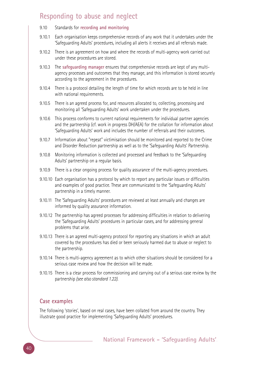- 9.10 Standards for **recording and monitoring**
- 9.10.1 Each organisation keeps comprehensive records of any work that it undertakes under the 'Safeguarding Adults' procedures, including all alerts it receives and all referrals made.
- 9.10.2 There is an agreement on how and where the records of multi-agency work carried out under these procedures are stored.
- 9.10.3 The **safeguarding manager** ensures that comprehensive records are kept of any multiagency processes and outcomes that they manage, and this information is stored securely according to the agreement in the procedures.
- 9.10.4 There is a protocol detailing the length of time for which records are to be held in line with national requirements.
- 9.10.5 There is an agreed process for, and resources allocated to, collecting, processing and monitoring all 'Safeguarding Adults' work undertaken under the procedures.
- 9.10.6 This process conforms to current national requirements for individual partner agencies and the partnership (cf. work in progress DH/AEA) for the collation for information about 'Safeguarding Adults' work and includes the number of referrals and their outcomes.
- 9.10.7 Information about "repeat" victimisation should be monitored and reported to the Crime and Disorder Reduction partnership as well as to the 'Safeguarding Adults' Partnership.
- 9.10.8 Monitoring information is collected and processed and feedback to the 'Safeguarding Adults' partnership on a regular basis.
- 9.10.9 There is a clear ongoing process for quality assurance of the multi-agency procedures.
- 9.10.10 Each organisation has a protocol by which to report any particular issues or difficulties and examples of good practice. These are communicated to the 'Safeguarding Adults' partnership in a timely manner.
- 9.10.11 The 'Safeguarding Adults' procedures are reviewed at least annually and changes are informed by quality assurance information.
- 9.10.12 The partnership has agreed processes for addressing difficulties in relation to delivering the 'Safeguarding Adults' procedures in particular cases, and for addressing general problems that arise.
- 9.10.13 There is an agreed multi-agency protocol for reporting any situations in which an adult covered by the procedures has died or been seriously harmed due to abuse or neglect to the partnership.
- 9.10.14 There is multi-agency agreement as to which other situations should be considered for a serious case review and how the decision will be made.
- 9.10.15 There is a clear process for commissioning and carrying out of a serious case review by the partnership *(see also standard 1.22).*

### **Case examples**

The following 'stories', based on real cases, have been collated from around the country. They illustrate good practice for implementing 'Safeguarding Adults' procedures.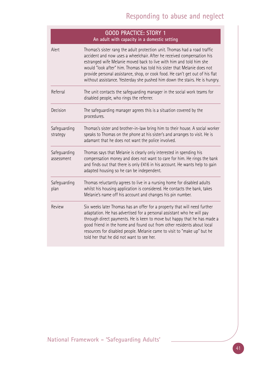|                            | <b>GOOD PRACTICE: STORY 1</b><br>An adult with capacity in a domestic setting                                                                                                                                                                                                                                                                                                                                                                                          |
|----------------------------|------------------------------------------------------------------------------------------------------------------------------------------------------------------------------------------------------------------------------------------------------------------------------------------------------------------------------------------------------------------------------------------------------------------------------------------------------------------------|
| Alert                      | Thomas's sister rang the adult protection unit. Thomas had a road traffic<br>accident and now uses a wheelchair. After he received compensation his<br>estranged wife Melanie moved back to live with him and told him she<br>would "look after" him. Thomas has told his sister that Melanie does not<br>provide personal assistance, shop, or cook food. He can't get out of his flat<br>without assistance. Yesterday she pushed him down the stairs. He is hungry. |
| Referral                   | The unit contacts the safeguarding manager in the social work teams for<br>disabled people, who rings the referrer.                                                                                                                                                                                                                                                                                                                                                    |
| Decision                   | The safeguarding manager agrees this is a situation covered by the<br>procedures.                                                                                                                                                                                                                                                                                                                                                                                      |
| Safeguarding<br>strategy   | Thomas's sister and brother-in-law bring him to their house. A social worker<br>speaks to Thomas on the phone at his sister's and arranges to visit. He is<br>adamant that he does not want the police involved.                                                                                                                                                                                                                                                       |
| Safeguarding<br>assessment | Thomas says that Melanie is clearly only interested in spending his<br>compensation money and does not want to care for him. He rings the bank<br>and finds out that there is only £416 in his account. He wants help to gain<br>adapted housing so he can be independent.                                                                                                                                                                                             |
| Safeguarding<br>plan       | Thomas reluctantly agrees to live in a nursing home for disabled adults<br>whilst his housing application is considered. He contacts the bank, takes<br>Melanie's name off his account and changes his pin number.                                                                                                                                                                                                                                                     |
| Review                     | Six weeks later Thomas has an offer for a property that will need further<br>adaptation. He has advertised for a personal assistant who he will pay<br>through direct payments. He is keen to move but happy that he has made a<br>good friend in the home and found out from other residents about local<br>resources for disabled people. Melanie came to visit to "make up" but he<br>told her that he did not want to see her.                                     |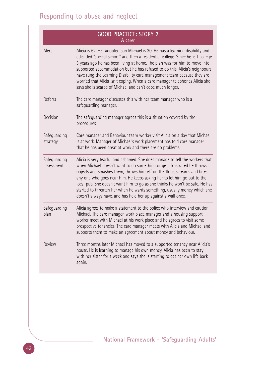| <b>GOOD PRACTICE: STORY 2</b><br>A carer |                                                                                                                                                                                                                                                                                                                                                                                                                                                                                                                                                    |
|------------------------------------------|----------------------------------------------------------------------------------------------------------------------------------------------------------------------------------------------------------------------------------------------------------------------------------------------------------------------------------------------------------------------------------------------------------------------------------------------------------------------------------------------------------------------------------------------------|
| Alert                                    | Alicia is 62. Her adopted son Michael is 30. He has a learning disability and<br>attended "special school" and then a residential college. Since he left college<br>3 years ago he has been living at home. The plan was for him to move into<br>supported accommodation but he has refused to do this. Alicia's neighbours<br>have rung the Learning Disability care management team because they are<br>worried that Alicia isn't coping. When a care manager telephones Alicia she<br>says she is scared of Michael and can't cope much longer. |
| Referral                                 | The care manager discusses this with her team manager who is a<br>safeguarding manager.                                                                                                                                                                                                                                                                                                                                                                                                                                                            |
| Decision                                 | The safeguarding manager agrees this is a situation covered by the<br>procedures                                                                                                                                                                                                                                                                                                                                                                                                                                                                   |
| Safeguarding<br>strategy                 | Care manager and Behaviour team worker visit Alicia on a day that Michael<br>is at work. Manager of Michael's work placement has told care manager<br>that he has been great at work and there are no problems.                                                                                                                                                                                                                                                                                                                                    |
| Safeguarding<br>assessment               | Alicia is very tearful and ashamed. She does manage to tell the workers that<br>when Michael doesn't want to do something or gets frustrated he throws<br>objects and smashes them, throws himself on the floor, screams and bites<br>any one who goes near him. He keeps asking her to let him go out to the<br>local pub. She doesn't want him to go as she thinks he won't be safe. He has<br>started to threaten her when he wants something, usually money which she<br>doesn't always have, and has held her up against a wall once.         |
| Safeguarding<br>plan                     | Alicia agrees to make a statement to the police who interview and caution<br>Michael. The care manager, work place manager and a housing support<br>worker meet with Michael at his work place and he agrees to visit some<br>prospective tenancies. The care manager meets with Alicia and Michael and<br>supports them to make an agreement about money and behaviour.                                                                                                                                                                           |
| Review                                   | Three months later Michael has moved to a supported tenancy near Alicia's<br>house. He is learning to manage his own money. Alicia has been to stay<br>with her sister for a week and says she is starting to get her own life back<br>again.                                                                                                                                                                                                                                                                                                      |
|                                          |                                                                                                                                                                                                                                                                                                                                                                                                                                                                                                                                                    |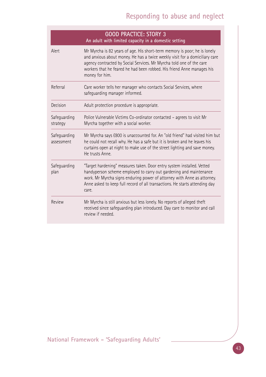|                            | <b>GOOD PRACTICE: STORY 3</b><br>An adult with limited capacity in a domestic setting                                                                                                                                                                                                                                        |
|----------------------------|------------------------------------------------------------------------------------------------------------------------------------------------------------------------------------------------------------------------------------------------------------------------------------------------------------------------------|
| Alert                      | Mr Myrcha is 82 years of age. His short-term memory is poor; he is lonely<br>and anxious about money. He has a twice weekly visit for a domiciliary care<br>agency contracted by Social Services. Mr Myrcha told one of the care<br>workers that he feared he had been robbed. His friend Anne manages his<br>money for him. |
| Referral                   | Care worker tells her manager who contacts Social Services, where<br>safequarding manager informed.                                                                                                                                                                                                                          |
| Decision                   | Adult protection procedure is appropriate.                                                                                                                                                                                                                                                                                   |
| Safeguarding<br>strategy   | Police Vulnerable Victims Co-ordinator contacted - agrees to visit Mr<br>Myrcha together with a social worker.                                                                                                                                                                                                               |
| Safeguarding<br>assessment | Mr Myrcha says £800 is unaccounted for. An "old friend" had visited him but<br>he could not recall why. He has a safe but it is broken and he leaves his<br>curtains open at night to make use of the street lighting and save money.<br>He trusts Anne.                                                                     |
| Safeguarding<br>plan       | "Target hardening" measures taken. Door entry system installed. Vetted<br>handyperson scheme employed to carry out gardening and maintenance<br>work. Mr Myrcha signs enduring power of attorney with Anne as attorney.<br>Anne asked to keep full record of all transactions. He starts attending day<br>care.              |
| Review                     | Mr Myrcha is still anxious but less lonely. No reports of alleged theft<br>received since safeguarding plan introduced. Day care to monitor and call<br>review if needed.                                                                                                                                                    |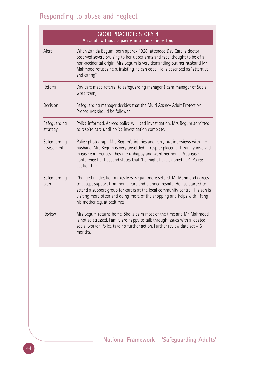|                            | <b>GOOD PRACTICE: STORY 4</b><br>An adult without capacity in a domestic setting                                                                                                                                                                                                                                                          |
|----------------------------|-------------------------------------------------------------------------------------------------------------------------------------------------------------------------------------------------------------------------------------------------------------------------------------------------------------------------------------------|
| Alert                      | When Zahida Begum (born approx 1928) attended Day Care, a doctor<br>observed severe bruising to her upper arms and face, thought to be of a<br>non-accidental origin. Mrs Begum is very demanding but her husband Mr<br>Mahmood refuses help, insisting he can cope. He is described as "attentive<br>and caring".                        |
| Referral                   | Day care made referral to safeguarding manager (Team manager of Social<br>work team).                                                                                                                                                                                                                                                     |
| Decision                   | Safeguarding manager decides that the Multi Agency Adult Protection<br>Procedures should be followed.                                                                                                                                                                                                                                     |
| Safeguarding<br>strategy   | Police informed. Agreed police will lead investigation. Mrs Begum admitted<br>to respite care until police investigation complete.                                                                                                                                                                                                        |
| Safeguarding<br>assessment | Police photograph Mrs Begum's injuries and carry out interviews with her<br>husband. Mrs Begum is very unsettled in respite placement. Family involved<br>in case conferences. They are unhappy and want her home. At a case<br>conference her husband states that "he might have slapped her". Police<br>caution him.                    |
| Safeguarding<br>plan       | Changed medication makes Mrs Begum more settled. Mr Mahmood agrees<br>to accept support from home care and planned respite. He has started to<br>attend a support group for carers at the local community centre. His son is<br>visiting more often and doing more of the shopping and helps with lifting<br>his mother e.g. at bedtimes. |
| Review                     | Mrs Begum returns home. She is calm most of the time and Mr. Mahmood<br>is not so stressed. Family are happy to talk through issues with allocated<br>social worker. Police take no further action. Further review date set - 6<br>months.                                                                                                |
|                            |                                                                                                                                                                                                                                                                                                                                           |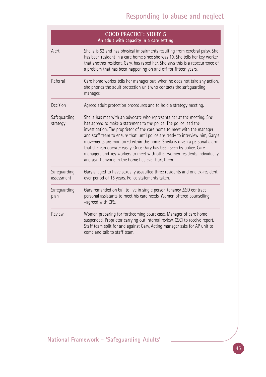|                            | <b>GOOD PRACTICE: STORY 5</b><br>An adult with capacity in a care setting                                                                                                                                                                                                                                                                                                                                                                                                                                                                                                                     |
|----------------------------|-----------------------------------------------------------------------------------------------------------------------------------------------------------------------------------------------------------------------------------------------------------------------------------------------------------------------------------------------------------------------------------------------------------------------------------------------------------------------------------------------------------------------------------------------------------------------------------------------|
| Alert                      | Sheila is 52 and has physical impairments resulting from cerebral palsy. She<br>has been resident in a care home since she was 19. She tells her key worker<br>that another resident, Gary, has raped her. She says this is a reoccurrence of<br>a problem that has been happening on and off for fifteen years.                                                                                                                                                                                                                                                                              |
| Referral                   | Care home worker tells her manager but, when he does not take any action,<br>she phones the adult protection unit who contacts the safeguarding<br>manager.                                                                                                                                                                                                                                                                                                                                                                                                                                   |
| Decision                   | Agreed adult protection procedures and to hold a strategy meeting.                                                                                                                                                                                                                                                                                                                                                                                                                                                                                                                            |
| Safeguarding<br>strategy   | Sheila has met with an advocate who represents her at the meeting. She<br>has agreed to make a statement to the police. The police lead the<br>investigation. The proprietor of the care home to meet with the manager<br>and staff team to ensure that, until police are ready to interview him, Gary's<br>movements are monitored wthin the home. Sheila is given a personal alarm<br>that she can operate easily. Once Gary has been seen by police, Care<br>managers and key workers to meet with other women residents individually<br>and ask if anyone in the home has ever hurt them. |
| Safeguarding<br>assessment | Gary alleged to have sexually assaulted three residents and one ex-resident<br>over period of 15 years. Police statements taken.                                                                                                                                                                                                                                                                                                                                                                                                                                                              |
| Safeguarding<br>plan       | Gary remanded on bail to live in single person tenancy .SSD contract<br>personal assistants to meet his care needs. Women offered counselling<br>-agreed with CPS.                                                                                                                                                                                                                                                                                                                                                                                                                            |
| Review                     | Women preparing for forthcoming court case. Manager of care home<br>suspended. Proprietor carrying out internal review. CSCI to receive report.<br>Staff team split for and against Gary, Acting manager asks for AP unit to<br>come and talk to staff team.                                                                                                                                                                                                                                                                                                                                  |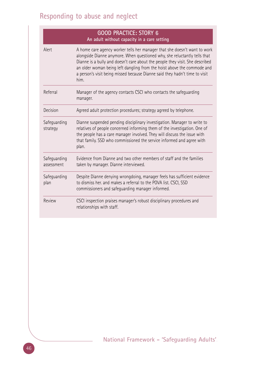|                            | <b>GOOD PRACTICE: STORY 6</b><br>An adult without capacity in a care setting                                                                                                                                                                                                                                                                                                                              |
|----------------------------|-----------------------------------------------------------------------------------------------------------------------------------------------------------------------------------------------------------------------------------------------------------------------------------------------------------------------------------------------------------------------------------------------------------|
| Alert                      | A home care agency worker tells her manager that she doesn't want to work<br>alongside Dianne anymore. When questioned why, she reluctantly tells that<br>Dianne is a bully and doesn't care about the people they visit. She described<br>an older woman being left dangling from the hoist above the commode and<br>a person's visit being missed because Dianne said they hadn't time to visit<br>him. |
| Referral                   | Manager of the agency contacts CSCI who contacts the safeguarding<br>manager.                                                                                                                                                                                                                                                                                                                             |
| Decision                   | Agreed adult protection procedures; strategy agreed by telephone.                                                                                                                                                                                                                                                                                                                                         |
| Safeguarding<br>strategy   | Dianne suspended pending disciplinary investigation. Manager to write to<br>relatives of people concerned informing them of the investigation. One of<br>the people has a care manager involved. They will discuss the issue with<br>that family. SSD who commissioned the service informed and agree with<br>plan.                                                                                       |
| Safeguarding<br>assessment | Evidence from Dianne and two other members of staff and the families<br>taken by manager. Dianne interviewed.                                                                                                                                                                                                                                                                                             |
| Safeguarding<br>plan       | Despite Dianne denying wrongdoing, manager feels has sufficient evidence<br>to dismiss her. and makes a referral to the POVA list. CSCI, SSD<br>commissioners and safeguarding manager informed.                                                                                                                                                                                                          |
| Review                     | CSCI inspection praises manager's robust disciplinary procedures and<br>relationships with staff.                                                                                                                                                                                                                                                                                                         |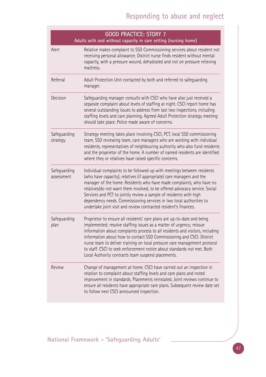| <b>GOOD PRACTICE: STORY 7</b><br>Adults with and without capacity in care setting (nursing home) |                                                                                                                                                                                                                                                                                                                                                                                                                                                                                                                           |  |
|--------------------------------------------------------------------------------------------------|---------------------------------------------------------------------------------------------------------------------------------------------------------------------------------------------------------------------------------------------------------------------------------------------------------------------------------------------------------------------------------------------------------------------------------------------------------------------------------------------------------------------------|--|
| Alert                                                                                            | Relative makes complaint to SSD Commissioning services about resident not<br>receiving personal allowance. District nurse finds resident without mental<br>capacity, with a pressure wound, dehydrated and not on pressure relieving<br>mattress.                                                                                                                                                                                                                                                                         |  |
| Referral                                                                                         | Adult Protection Unit contacted by both and referred to safeguarding<br>manager.                                                                                                                                                                                                                                                                                                                                                                                                                                          |  |
| Decision                                                                                         | Safeguarding manager consults with CSCI who have also just received a<br>separate complaint about levels of staffing at night. CSCI report home has<br>several outstanding issues to address from last two inspections, including<br>staffing levels and care planning. Agreed Adult Protection strategy meeting<br>should take place. Police made aware of concerns.                                                                                                                                                     |  |
| Safeguarding<br>strategy                                                                         | Strategy meeting takes place involving CSCI, PCT, local SSD commissioning<br>team, SSD reviewing team, care managers who are working with individual<br>residents, representatives of neighbouring authority who also fund residents<br>and the proprietor of the home. A number of named residents are identified<br>where they or relatives have raised specific concerns.                                                                                                                                              |  |
| Safeguarding<br>assessment                                                                       | Individual complaints to be followed up with meetings between residents<br>(who have capacity), relatives (if appropriate) care managers and the<br>manager of the home. Residents who have made complaints, who have no<br>relatives/do not want them involved, to be offered advocacy service. Social<br>Services and PCT to jointly review a sample of residents with high<br>dependency needs. Commissioning services in two local authorities to<br>undertake joint visit and review contracted resident's finances. |  |
| Safeguarding<br>plan                                                                             | Proprietor to ensure all residents' care plans are up-to-date and being<br>implemented; resolve staffing issues as a matter of urgency; reissue<br>information about complaints process to all residents and visitors, including<br>information about how to contact SSD Commissioning and CSCI. District<br>nurse team to deliver training on local pressure care management protocol<br>to staff. CSCI to seek enforcement notice about standards not met. Both<br>Local Authority contracts team suspend placements.   |  |
| Review                                                                                           | Change of management at home. CSCI have carried out an inspection in<br>relation to complaint about staffing levels and care plans and noted<br>improvement in standards. Placements reinstated. Joint reviews continue to<br>ensure all residents have appropriate care plans. Subsequent review date set<br>to follow next CSCI announced inspection.                                                                                                                                                                   |  |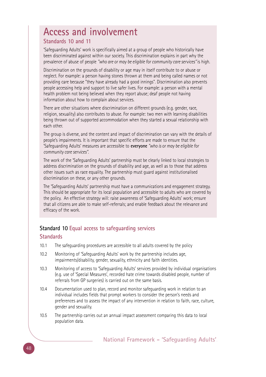# **Access and involvement**

### **Standards 10 and 11**

'Safeguarding Adults' work is specifically aimed at a group of people who historically have been discriminated against within our society. This discrimination explains in part why the prevalence of abuse of people *"who are or may be eligible for community care services"* is high.

Discrimination on the grounds of disability or age may in itself contribute to or abuse or neglect. For example: a person having stones thrown at them and being called names or not providing care because "they have already had a good innings". Discrimination also prevents people accessing help and support to live safer lives. For example: a person with a mental health problem not being believed when they report abuse; deaf people not having information about how to complain about services.

There are other situations where discrimination on different grounds (e.g. gender, race, religion, sexuality) also contributes to abuse. For example: two men with learning disabilities being thrown out of supported accommodation when they started a sexual relationship with each other.

The group is diverse, and the content and impact of discrimination can vary with the details of people's impairments. It is important that specific efforts are made to ensure that the 'Safeguarding Adults' measures are accessible to **everyone** *"who is or may be eligible for community care services".*

The work of the 'Safeguarding Adults' partnership must be clearly linked to local strategies to address discrimination on the grounds of disability and age, as well as to those that address other issues such as race equality. The partnership must guard against institutionalised discrimination on these, or any other grounds.

The 'Safeguarding Adults' partnership must have a communications and engagement strategy. This should be appropriate for its local population and accessible to adults who are covered by the policy. An effective strategy will: raise awareness of 'Safeguarding Adults' work; ensure that all citizens are able to make self-referrals; and enable feedback about the relevance and efficacy of the work.

### **Standard 10 Equal access to safeguarding services**

### **Standards**

- 10.1 The safeguarding procedures are accessible to all adults covered by the policy
- 10.2 Monitoring of 'Safeguarding Adults' work by the partnership includes age, impairments/disability, gender, sexuality, ethnicity and faith identities.
- 10.3 Monitoring of access to 'Safeguarding Adults' services provided by individual organisations (e.g. use of 'Special Measures', recorded hate crime towards disabled people, number of referrals from GP surgeries) is carried out on the same basis.
- 10.4 Documentation used to plan, record and monitor safeguarding work in relation to an individual includes fields that prompt workers to consider the person's needs and preferences and to assess the impact of any intervention in relation to faith, race, culture, gender and sexuality.
- 10.5 The partnership carries out an annual impact assessment comparing this data to local population data.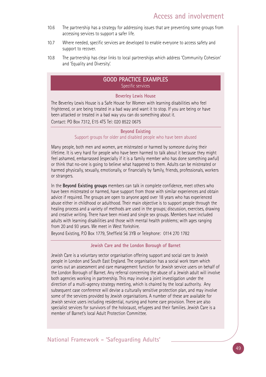### **Access and involvement**

- 10.6 The partnership has a strategy for addressing issues that are preventing some groups from accessing services to support a safer life.
- 10.7 Where needed, specific services are developed to enable everyone to access safety and support to recover.
- 10.8 The partnership has clear links to local partnerships which address 'Community Cohesion' and 'Equality and Diversity'.

### **GOOD PRACTICE EXAMPLES**  Specific services

#### **Beverley Lewis House**

The Beverley Lewis House is a Safe House for Women with learning disabilities who feel frightened, or are being treated in a bad way and want it to stop. If you are being or have been attacked or treated in a bad way you can do something about it.

Contact: PO Box 7312, E15 4TS Tel: 020 8522 0675

#### **Beyond Existing**

Support groups for older and disabled people who have been abused

Many people, both men and women, are mistreated or harmed by someone during their lifetime. It is very hard for people who have been harmed to talk about it because they might feel ashamed, embarrassed (especially if it is a family member who has done something awful) or think that no-one is going to believe what happened to them. Adults can be mistreated or harmed physically, sexually, emotionally, or financially by family, friends, professionals, workers or strangers.

In the **Beyond Existing groups** members can talk in complete confidence, meet others who have been mistreated or harmed, have support from those with similar experiences and obtain advice if required. The groups are open to anyone aged over 18 years who has experienced abuse either in childhood or adulthood. Their main objective is to support people through the healing process and a variety of methods are used in the groups; discussion, exercises, drawing and creative writing. There have been mixed and single sex groups. Members have included adults with learning disabilities and those with mental health problems; with ages ranging from 20 and 93 years. We meet in West Yorkshire.

Beyond Existing, P.O Box 1779, Sheffield S6 3YB or Telephone: 0114 270 1782

### **Jewish Care and the London Borough of Barnet**

Jewish Care is a voluntary sector organisation offering support and social care to Jewish people in London and South East England. The organisation has a social work team which carries out an assessment and care management function for Jewish service users on behalf of the London Borough of Barnet. Any referral concerning the abuse of a Jewish adult will involve both agencies working in partnership. This may involve a joint investigation under the direction of a multi-agency strategy meeting, which is chaired by the local authority. Any subsequent case conference will devise a culturally sensitive protection plan, and may involve some of the services provided by Jewish organisations. A number of these are available for Jewish service users including residential, nursing and home care provision. There are also specialist services for survivors of the holocaust, refugees and their families. Jewish Care is a member of Barnet's local Adult Protection Committee.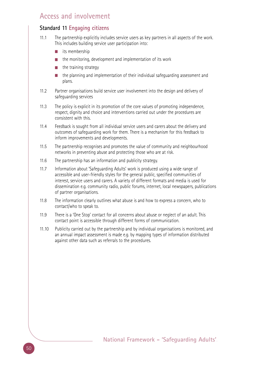### **Access and involvement**

### **Standard 11 Engaging citizens**

- 11.1 The partnership explicitly includes service users as key partners in all aspects of the work. This includes building service user participation into:
	- its membership
	- the monitoring, development and implementation of its work
	- $\blacksquare$  the training strategy
	- the planning and implementation of their individual safequarding assessment and plans.
- 11.2 Partner organisations build service user involvement into the design and delivery of safeguarding services
- 11.3 The policy is explicit in its promotion of the core values of promoting independence, respect, dignity and choice and interventions carried out under the procedures are consistent with this.
- 11.4 Feedback is sought from all individual service users and carers about the delivery and outcomes of safeguarding work for them. There is a mechanism for this feedback to inform improvements and developments.
- 11.5 The partnership recognises and promotes the value of community and neighbourhood networks in preventing abuse and protecting those who are at risk.
- 11.6 The partnership has an information and publicity strategy.
- 11.7 Information about 'Safeguarding Adults' work is produced using a wide range of accessible and user-friendly styles for the general public, specified communities of interest, service users and carers. A variety of different formats and media is used for dissemination e.g. community radio, public forums, internet, local newspapers, publications of partner organisations.
- 11.8 The information clearly outlines what abuse is and how to express a concern, who to contact/who to speak to.
- 11.9 There is a 'One Stop' contact for all concerns about abuse or neglect of an adult. This contact point is accessible through different forms of communication.
- 11.10 Publicity carried out by the partnership and by individual organisations is monitored, and an annual impact assessment is made e.g. by mapping types of information distributed against other data such as referrals to the procedures.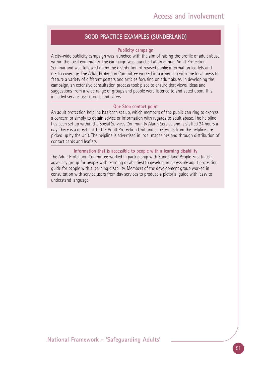### **GOOD PRACTICE EXAMPLES (SUNDERLAND)**

#### **Publicity campaign**

A city-wide publicity campaign was launched with the aim of raising the profile of adult abuse within the local community. The campaign was launched at an annual Adult Protection Seminar and was followed up by the distribution of revised public information leaflets and media coverage. The Adult Protection Committee worked in partnership with the local press to feature a variety of different posters and articles focusing on adult abuse. In developing the campaign, an extensive consultation process took place to ensure that views, ideas and suggestions from a wide range of groups and people were listened to and acted upon. This included service user groups and carers.

### **One Stop contact point**

An adult protection helpline has been set up, which members of the public can ring to express a concern or simply to obtain advice or information with regards to adult abuse. The helpline has been set up within the Social Services Community Alarm Service and is staffed 24 hours a day. There is a direct link to the Adult Protection Unit and all referrals from the helpline are picked up by the Unit. The helpline is advertised in local magazines and through distribution of contact cards and leaflets.

#### **Information that is accessible to people with a learning disability**

The Adult Protection Committee worked in partnership with Sunderland People First (a selfadvocacy group for people with learning disabilities) to develop an accessible adult protection guide for people with a learning disability. Members of the development group worked in consultation with service users from day services to produce a pictorial guide with 'easy to understand language'.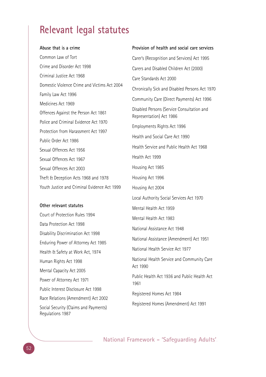# **Relevant legal statutes**

#### **Abuse that is a crime**

Common Law of Tort Crime and Disorder Act 1998 Criminal Justice Act 1968 Domestic Violence Crime and Victims Act 2004 Family Law Act 1996 Medicines Act 1969 Offences Against the Person Act 1861 Police and Criminal Evidence Act 1970 Protection from Harassment Act 1997 Public Order Act 1986 Sexual Offences Act 1956 Sexual Offences Act 1967 Sexual Offences Act 2003 Theft & Deception Acts 1968 and 1978 Youth Justice and Criminal Evidence Act 1999

#### **Other relevant statutes**

Court of Protection Rules 1994 Data Protection Act 1998 Disability Discrimination Act 1998 Enduring Power of Attorney Act 1985 Health & Safety at Work Act, 1974 Human Rights Act 1998 Mental Capacity Act 2005 Power of Attorney Act 1971 Public Interest Disclosure Act 1998 Race Relations (Amendment) Act 2002 Social Security (Claims and Payments) Regulations 1987

**Provision of health and social care services** Carer's (Recognition and Services) Act 1995 Carers and Disabled Children Act (2000) Care Standards Act 2000 Chronically Sick and Disabled Persons Act 1970 Community Care (Direct Payments) Act 1996 Disabled Persons (Service Consultation and Representation) Act 1986 Employments Rights Act 1996 Health and Social Care Act 1990 Health Service and Public Health Act 1968 Health Act 1999 Housing Act 1985 Housing Act 1996 Housing Act 2004 Local Authority Social Services Act 1970 Mental Health Act 1959 Mental Health Act 1983 National Assistance Act 1948 National Assistance (Amendment) Act 1951 National Health Service Act 1977 National Health Service and Community Care Act 1990 Public Health Act 1936 and Public Health Act 1961 Registered Homes Act 1984 Registered Homes (Amendment) Act 1991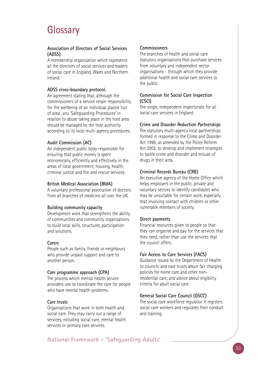# **Glossary**

### **Association of Directors of Social Services (ADSS)**

A membership organisation which represents all the directors of social services and leaders of social care in England, Wales and Northern Ireland.

### **ADSS cross-boundary protocol.**

An agreement stating that, although the commissioners of a service retain responsibility for the wellbeing of an individual placed 'out of area', any 'Safeguarding Procedures' in relation to abuse taking place in the host area should be managed by the host authority according to its local multi-agency procedures.

### **Audit Commission (AC)**

An independent public body responsible for ensuring that public money is spent economically, efficiently and effectively in the areas of local government, housing, health, criminal justice and fire and rescue services.

### **British Medical Association (BMA)**

A voluntary professional association of doctors from all branches of medicine all over the UK.

### **Building community capacity**

Development work that strengthens the ability of communities and community organisations to build local skills, structures, participation and solutions.

### **Carers**

People such as family, friends or neighbours who provide unpaid support and care to another person.

### **Care programme approach (CPA)**

The process which mental health service providers use to coordinate the care for people who have mental health problems.

### **Care trusts**

Organisations that work in both health and social care. They may carry out a range of services, including social care, mental health services or primary care services.

### **Commissioners**

The branches of health and social care statutory organisations that purchase services from voluntary and independent sector organisations - through which they provide additional health and social care services to the public.

### **Commission for Social Care Inspection (CSCI)**

The single, independent inspectorate for all social care services in England.

### **Crime and Disorder Reduction Partnerships**

The statutory multi-agency local partnerships formed in response to the Crime and Disorder Act 1998, as amended by the Police Reform Act 2002, to develop and implement strategies to tackle crime and disorder and misuse of drugs in their area.

### **Criminal Records Bureau (CRB)**

An executive agency of the Home Office which helps employers in the public, private and voluntary sectors to identify candidates who may be unsuitable for certain work, especially that involving contact with children or other vulnerable members of society.

### **Direct payments**

Financial resources given to people so that they can organise and pay for the services that they need, rather than use the services that the council offers.

### **Fair Access to Care Services (FACS)**

Guidance issued by the Department of Health to councils and care trusts about fair charging policies for home care and other nonresidential care, and advice about eligibility criteria for adult social care.

### **General Social Care Council (GSCC)**

The social care workforce regulator. It registers social care workers and regulates their conduct and training.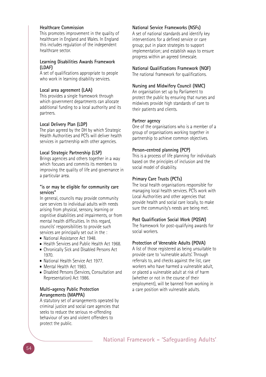### **Healthcare Commission**

This promotes improvement in the quality of healthcare in England and Wales. In England this includes regulation of the independent healthcare sector.

#### **Learning Disabilities Awards Framework (LDAF)**

A set of qualifications appropriate to people who work in learning disability services.

#### **Local area agreement (LAA)**

This provides a single framework through which government departments can allocate additional funding to a local authority and its partners.

### **Local Delivery Plan (LDP)**

The plan agreed by the DH by which Strategic Health Authorities and PCTs will deliver health services in partnership with other agencies.

### **Local Strategic Partnership (LSP)**

Brings agencies and others together in a way which focuses and commits its members to improving the quality of life and governance in a particular area.

### **"is or may be eligible for community care services"**

In general, councils may provide community care services to individual adults with needs arising from physical, sensory, learning or cognitive disabilities and impairments, or from mental health difficulties. In this regard, councils' responsibilities to provide such services are principally set out in the :

- National Assistance Act 1948.
- Health Services and Public Health Act 1968.
- Chronically Sick and Disabled Persons Act 1970.
- National Health Service Act 1977.
- Mental Health Act 1983.
- Disabled Persons (Services, Consultation and Representation) Act 1986.

### **Multi-agency Public Protection Arrangements (MAPPA)**

A statutory set of arrangements operated by criminal justice and social care agencies that seeks to reduce the serious re-offending behaviour of sex and violent offenders to protect the public.

#### **National Service Frameworks (NSFs)**

A set of national standards and identify key interventions for a defined service or care group; put in place strategies to support implementation; and establish ways to ensure progress within an agreed timescale.

### **National Qualifications Framework (NQF)**

The national framework for qualifications.

### **Nursing and Midwifery Council (NMC)**

An organisation set up by Parliament to protect the public by ensuring that nurses and midwives provide high standards of care to their patients and clients.

### **Partner agency**

One of the organisations who is a member of a group of organisations working together in partnership to achieve common objectives.

### **Person-centred planning (PCP)**

This is a process of life planning for individuals based on the principles of inclusion and the social model of disability.

### **Primary Care Trusts (PCTs)**

The local health organisations responsible for managing local health services. PCTs work with Local Authorities and other agencies that provide health and social care locally, to make sure the community's needs are being met.

### **Post Qualification Social Work (PQSW)**

The framework for post-qualifying awards for social workers.

### **Protection of Venerable Adults (POVA)**

A list of those registered as being unsuitable to provide care to 'vulnerable adults'. Through referrals to, and checks against the list, care workers who have harmed a vulnerable adult, or placed a vulnerable adult at risk of harm (whether or not in the course of their employment), will be banned from working in a care position with vulnerable adults.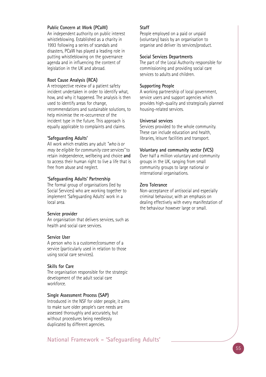### **Public Concern at Work (PCaW)**

An independent authority on public interest whistleblowing. Established as a charity in 1993 following a series of scandals and disasters, PCaW has played a leading role in putting whistleblowing on the governance agenda and in influencing the content of legislation in the UK and abroad.

### **Root Cause Analysis (RCA)**

A retrospective review of a patient safety incident undertaken in order to identify what, how, and why it happened. The analysis is then used to identify areas for change, recommendations and sustainable solutions, to help minimise the re-occurrence of the incident type in the future. This approach is equally applicable to complaints and claims.

### **'Safeguarding Adults'**

All work which enables any adult *"who is or may be eligible for community care services"* to retain independence, wellbeing and choice **and** to access their human right to live a life that is free from abuse and neglect.

### **'Safeguarding Adults' Partnership**

The formal group of organisations (led by Social Services) who are working together to implement 'Safeguarding Adults' work in a local area.

### **Service provider**

An organisation that delivers services, such as health and social care services.

### **Service User**

A person who is a customer/consumer of a service (particularly used in relation to those using social care services).

### **Skills for Care**

The organisation responsible for the strategic development of the adult social care workforce

### **Single Assessment Process (SAP)**

Introduced in the NSF for older people, it aims to make sure older people's care needs are assessed thoroughly and accurately, but without procedures being needlessly duplicated by different agencies.

### **Staff**

People employed on a paid or unpaid (voluntary) basis by an organisation to organise and deliver its services/product.

### **Social Services Departments**

The part of the Local Authority responsible for commissioning and providing social care services to adults and children.

### **Supporting People**

A working partnership of local government, service users and support agencies which provides high-quality and strategically planned housing-related services.

### **Universal services**

Services provided to the whole community. These can include education and health, libraries, leisure facilities and transport.

### **Voluntary and community sector (VCS)**

Over half a million voluntary and community groups in the UK, ranging from small community groups to large national or international organisations.

### **Zero Tolerance**

Non-acceptance of antisocial and especially criminal behaviour, with an emphasis on dealing effectively with every manifestation of the behaviour however large or small.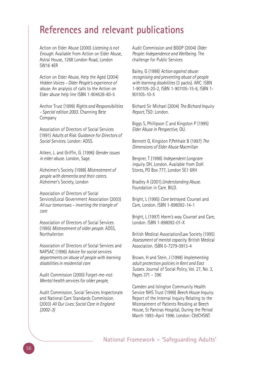# **References and relevant publications**

Action on Elder Abuse (2000) *Listening is not Enough.* Available from Action on Elder Abuse, Astral House, 1268 London Road, London SW16 4ER

Action on Elder Abuse, Help the Aged (2004) *Hidden Voices – Older People's experience of abuse.* An analysis of calls to the Action on Elder abuse help line ISBN 1-904528-80-5

Anchor Trust (1999) *Rights and Responsibilities - Special edition 2003.* Channing Bete Company

Association of Directors of Social Services (1991) *Adults at Risk: Guidance for Directors of Social Services.* London: ADSS.

Aitken, L. and Griffin, G. (1996) *Gender issues in elder abuse.* London, Sage.

Alzheimer's Society (1998) *Mistreatment of people with dementia and their carers.* Alzheimer's Society, London

Association of Directors of Social Services/Local Government Association (2003) *All our tomorrows – inverting the triangle of care*

Association of Directors of Social Services (1995) *Mistreatment of older people.* ADSS, **Northallerton** 

Association of Directors of Social Services and NAPSAC (1996) *Advice for social services departments on abuse of people with learning disabilities in residential care*

Audit Commission (2000) F*orget-me-not: Mental health services for older people,*

Audit Commission, Social Services Inspectorate and National Care Standards Commission. (2003) *All Our Lives: Social Care in England (2002-3)*

Audit Commission and BGOP (2004) *Older People: Independence and Wellbeing.* The challenge for Public Services

Bailey, G (1998) *Action against abuse: recognising and preventing abuse of people with learning disabilities* (3 packs). ARC. ISBN 1-901105-20-2, ISBN 1-901105-15-6, ISBN 1- 901105-10-5

Bichard Sir Michael (2004) *The Bichard Inquiry Report,* TSO: London.

Biggs S, Phillipson C and Kingston P (1995) *Elder Abuse in Perspective,* OU.

Bennett G, Kingston P,Pehhale B (1997) *The Dimensions of Elder Abuse* Macmillan

Bergner, T (1998) *Independent Longcare inquiry.* DH, London. Available from DoH Stores, PO Box 777, London SE1 6XH

Bradley A (2001).*Understanding Abuse.* Foundation in Care. BILD.

Bright, L (1995) *Care betrayed.* Counsel and Care, London. ISBN 1-898092-14-1

Bright, L (1997) *Harm's way.* Counsel and Care, London. ISBN 1-898092-01-X

British Medical Association/Law Society (1995) *Assessment of mental capacity.* British Medical Association. ISBN 0-7279-0913-4

Brown, H and Stein, J (1998) *Implementing adult protection policies in Kent and East Sussex.* Journal of Social Policy, Vol. 27, No. 3, Pages 371 – 396

Camden and Islington Community Health Service NHS Trust (1999) *Beech House Inquiry.* Report of the Internal Inquiry Relating to the Mistreatment of Patients Residing at Beech House, St Pancras Hospital, During the Period March 1993–April 1996. London: C&ICHSNT.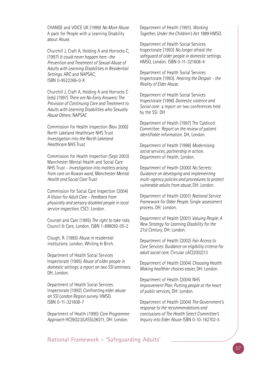CHANGE and VOICE UK (1999) *No More Abuse.* A pack for People with a Learning Disability about Abuse.

Churchill J, Craft A, Holding A and Horrocks C, (1997) *It could never happen here -the Prevention and Treatment of Sexual Abuse of Adults with Learning Disabilities in Residential Settings.* ARC and NAPSAC, ISBN 0-9522266-0-X

Churchill J, Craft A, Holding A and Horrocks C (eds) (1997) *There are No Early Answers: The Provision of Continuing Care and Treatment to Adults with Learning Disabilities who Sexually Abuse Others.* NAPSAC

Commission for Health Inspection (Nov 2000) North Lakeland Healthcare NHS Trust *Investigation into the North Lakeland Healthcare NHS Trust.*

Commission for Health Inspection (Sept 2003) Manchester Mental Health and Social Care NHS Trust - *Investigation into matters arising from care on Rowan ward, Manchester Mental Health and Social Care Trust.*

Commission for Social Care Inspection (2004) *A Vision for Adult Care – Feedback from physically and sensory disabled people in local service inspection,* CSCI: London.

Counsel and Care (1995) *The right to take risks.* Council & Care, London. ISBN 1-898092-05-2

Clough, R. (1995) *Abuse in residential institutions.* London, Whiting & Birch.

Department of Health Social Services Inspectorate (1995) *Abuse of older people in domestic settings: a report on two SSI seminars.* DH, London.

Department of Health Social Services Inspectorate (1992) *Confronting elder abuse: an SSI London Region survey.* HMSO. ISBN 0-11-321608-7

Department of Health (1990) *Care Programme Approach* HC(90)23/LASSL(90)11, DH: London.

Department of Health (1991). *Working Together, Under the Children's Act 1989* HMSO.

Department of Health Social Services Inspectorate (1993) *No longer afraid: the safeguard of older people in domestic settings.* HMSO, London. ISBN 0-11-321608-4

Department of Health Social Services Inspectorate (1993). *Hearing the Despair - the Reality of Elder Abuse.*

Department of Health Social Services Inspectorate (1996) *Domestic violence and Social care:* a report on two conferences held by the SSI. DH

Department of Health (1997) The Caldicott Committee: *Report on the review of patient identifiable information.* DH, London.

Department of Health (1998) *Modernising social services, partnership in action.* Department of Health, London.

Department of Health (2000) *No Secrets: Guidance on developing and implementing multi-agency policies and procedures to protect vulnerable adults from abuse,* DH: London.

Department of Health (2001) *National Service Framework for Older People.* Single assessment process. DH: London.

Department of Health (2001) *Valuing People: A New Strategy for Learning Disability for the 21st Century,* DH: London.

Department of Health (2002) *Fair Access to Care Services: Guidance on eligibility criteria for adult social care,* Circular LAC(2002)13

Department of Health (2004) *Choosing Health: Making healthier choices easier,* DH: London.

Department of Health (2004) NHS *Improvement Plan: Putting people at the heart of public services,* DH: London.

Department of Health (2004) *The Government's response to the recommendations and conclusions of The Health Select Committee's Inquiry into Elder Abuse* ISBN 0-10-162702-5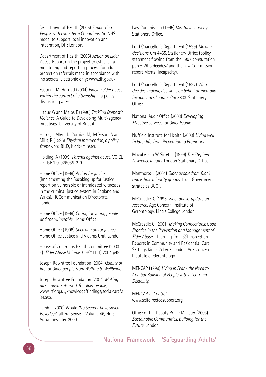Department of Health (2005) *Supporting People with Long-term Conditions:* An NHS model to support local innovation and integration, DH: London.

Department of Health (2005) *Action on Elder Abuse:* Report on the project to establish a monitoring and reporting process for adult protection referrals made in accordance with 'no secrets' Electronic only: www.dh.gov.uk

Eastman M, Harris J (2004) *Placing elder abuse within the context of citizenship* – a policy discussion paper.

Hague G and Malos E (1996) *Tackling Domestic Violence.* A Guide to Developing Multi-agency Initiatives, University of Bristol.

Harris, J, Allen, D, Cornick, M, Jefferson, A and Mills, R (1996) *Physical Intervention; a policy framework.* BILD, Kidderminster.

Holding, A (1999) *Parents against abuse.* VOICE UK. ISBN 0-926085-2-9

Home Office (1999) *Action for justice* (implementing the Speaking up for justice report on vulnerable or intimidated witnesses in the criminal justice system in England and Wales). HOCommunication Directorate, London.

Home Office (1999) *Caring for young people and the vulnerable.* Home Office.

Home Office (1998) *Speaking up for justice.* Home Office Justice and Victims Unit, London.

House of Commons Health Committee (2003- 4): *Elder Abuse Volume 1* (HC111-1) 2004 p49

Joseph Rowntree Foundation (2004) *Quality of life for Older people From Welfare to Wellbeing.*

Joseph Rowntree Foundation (2004) *Making direct payments work for older people,* www.jrf.org.uk/knowledge/findings/socialcare/2 34.asp.

Lamb L (2000) Would *'No Secrets' have saved Beverley?* Talking Sense – Volume 46, No 3, Autumn/winter 2000.

Law Commission (1995) *Mental incapacity.* Stationery Office.

Lord Chancellor's Department (1999) *Making decisions.* Cm 4465. Stationery Office (policy statement flowing from the 1997 consultation paper Who decides? and the Law Commission report Mental incapacity).

Lord Chancellor's Department (1997) *Who decides: making decisions on behalf of mentally incapacitated adults.* Cm 3803. Stationery Office.

National Audit Office (2003) *Developing Effective services for Older People.*

Nuffield Institute for Health (2003) *Living well in later life: from Prevention to Promotion.*

Macpherson W Sir et al (1999) *The Stephen Lawrence Inquiry.* London Stationary Office.

Manthorpe J (2004) *Older people from Black and ethnic minority groups.* Local Government strategies BGOP.

McCreadie, C (1996) *Elder abuse: update on research.* Age Concern, Institute of Gerontology, King's College London.

McCreadie C .(2001) *Making Connections: Good Practice in the Prevention and Management of Elder Abuse* - Learning from SSI Inspection Reports in Community and Residential Care Settings Kings College London, Age Concern Institute of Gerontology.

MENCAP (1999) *Living in Fear - the Need to Combat Bullying of People with a Learning Disability.*

MENCAP *In Control.* www.selfdirectedsupport.org

Office of the Deputy Prime Minister (2003) *Sustainable Communities: Building for the Future,* London.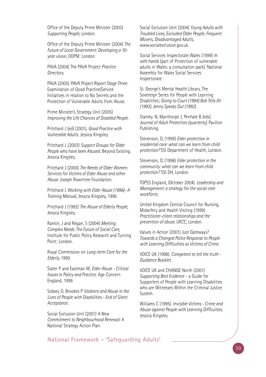Office of the Deputy Prime Minister (2003) *Supporting People,* London.

Office of the Deputy Prime Minister (2004) *The Future of Local Government: Developing a 10 year vision,* ODPM: London.

PAVA (2004) The PAVA Project *Practice Directory.*

PAVA (2005) *PAVA Project Report Stage Three:* Examination of Good Practice/Service Initiatives in relation to No Secrets and the Protection of Vulnerable Adults from Abuse.

Prime Minister's Strategy Unit (2005) *Improving the Life Chances of Disabled People.*

Pritchard J (ed) (2001), *Good Practice with Vulnerable Adults.* Jessica Kingsley.

Pritchard J ,(2003) *Support Groups for Older People who have been Abused.* Beyond Existing. Jessica Kingsley.

Pritchard J (2000) *The Needs of Older Women: Services for Victims of Elder Abuse and other Abuse.* Joseph Rowntree Foundation.

Pritchard J *Working with Elder Abuse (1996)- A Training Manual,* Jessica Kingsley, 1996.

Pritchard J (1992) *The Abuse of Elderly People,* Jessica Kingsley.

Rankin, J and Regan, S (2004) *Meeting Complex Needs: The Future of Social Care,* Institute for Public Policy Research and Turning Point: London.

Royal Commission on *Long-term Care for the Elderly,* 1999.

Slater P and Eastman M, *Elder Abuse - Critical Issues in Policy and Practice.* Age Concern England, 1999.

Sobsey D, Brookes P *Violence and Abuse in the Lives of People with Disabilities - End of Silent Acceptance.*

Social Exclusion Unit (2001) *A New Commitment to Neighbourhood Renewal:* A National Strategy Action Plan.

Social Exclusion Unit (2004) *Young Adults with Troubled Lives, Excluded Older People, Frequent Movers, Disadvantaged Adults,* www.socialexclusion.gov.uk.

Social Services Inspectorate Wales (1999) *In safe hands* (part of Protection of vulnerable adults in Wales: a consultation pack). National Assembly for Wales Social Services Inspectorate.

St. George's Mental Health Library, The Sovereign Series for People with Learning Disabilities; *Going to Court (1994) Bob Tells All (1993). Jenny Speaks Out (1992).*

Stanley. N, Manthorpe J, Penhale B (eds) *Journal of Adult Protection (quarterly);* Pavilion Publishing.

Stevenson, O, (1999) *Elder protection in residential care: what can we learn from child protection?* SSI Department of Health, London.

Stevenson, O, (1996) *Elder protection in the community: what can we learn from child protection?* SSI DH, London.

TOPSS England, (October 2004). *Leadership and Management: a strategy for the social care workforce,*

United Kingdom Central Council for Nursing, Midwifery and Health Visiting (1999) *Practitioner-client relationships and the prevention of abuse.* UKCC, London.

Values in Action (2001) Just Gateways? *Towards a Changed Police Response to People with Learning Difficulties as Victims of Crime.*

VOICE UK (1998). *Competent to tell the truth - Guidance Booklet.*

VOICE UK and CHANGE North (2001) *Supporting Best Evidence* - a Guide for Supporters of People with Learning Disabilities who are Witnesses Within the Criminal Justice System.

Williams C (1995). *Invisible Victims - Crime and Abuse against People with Learning Difficulties.* Jessica Kingsley.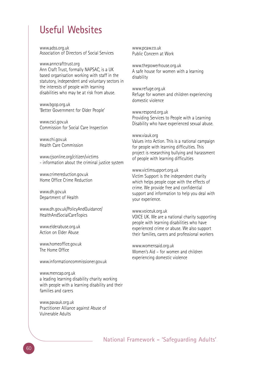# **Useful Websites**

www.adss.org.uk Association of Directors of Social Services

www.anncrafttrust.org Ann Craft Trust, formally NAPSAC, is a UK based organisation working with staff in the statutory, independent and voluntary sectors in the interests of people with learning disabilities who may be at risk from abuse.

www.bgop.org.uk 'Better Government for Older People'

www.csci.gov.uk Commission for Social Care Inspection

www.chi.gov.uk Health Care Commission

www.cjsonline.org/citizen/victims - information about the criminal justice system

www.crimereduction.gov.uk Home Office Crime Reduction

www.dh.gov.uk Department of Health

www.dh.gov.uk/PolicyAndGuidance/ HealthAndSocialCareTopics

www.elderabuse.org.uk Action on Elder Abuse

www.homeoffice.gov.uk The Home Office

www.informationcommissioner.gov.uk

www.mencap.org.uk a leading learning disability charity working with people with a learning disability and their families and carers

www.pavauk.org.uk Practitioner Alliance against Abuse of Vulnerable Adults

www.pcaw.co.uk Public Concern at Work

www.thepowerhouse.org.uk A safe house for women with a learning disability

www.refuge.org.uk Refuge for women and children experiencing domestic violence

www.respond.org.uk Providing Services to People with a Learning Disability who have experienced sexual abuse.

#### www.viauk.org

Values into Action. This is a national campaign for people with learning difficulties. This project is researching bullying and harassment of people with learning difficulties

#### www.victimsupport.org.uk

Victim Support is the independent charity which helps people cope with the effects of crime. We provide free and confidential support and information to help you deal with your experience.

#### www.voiceuk.org.uk

VOICE UK. We are a national charity supporting people with learning disabilities who have experienced crime or abuse. We also support their families, carers and professional workers

www.womensaid.org.uk Women's Aid – for women and children experiencing domestic violence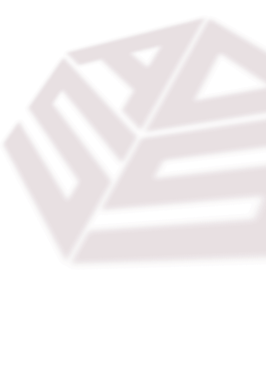